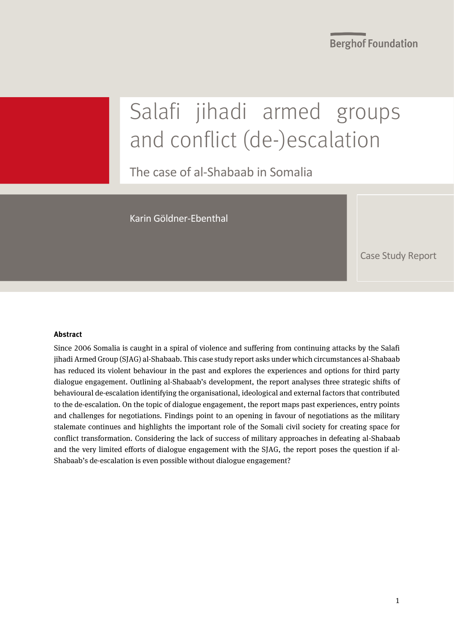**Berghof Foundation** 

# Salafi jihadi armed groups and conflict (de-)escalation

The case of al-Shabaab in Somalia

Karin Göldner-Ebenthal

Case Study Report

#### **Abstract**

Since 2006 Somalia is caught in a spiral of violence and suffering from continuing attacks by the Salafi jihadi Armed Group (SJAG) al-Shabaab. This case study report asks under which circumstances al-Shabaab has reduced its violent behaviour in the past and explores the experiences and options for third party dialogue engagement. Outlining al-Shabaab's development, the report analyses three strategic shifts of behavioural de-escalation identifying the organisational, ideological and external factors that contributed to the de-escalation. On the topic of dialogue engagement, the report maps past experiences, entry points and challenges for negotiations. Findings point to an opening in favour of negotiations as the military stalemate continues and highlights the important role of the Somali civil society for creating space for conflict transformation. Considering the lack of success of military approaches in defeating al-Shabaab and the very limited efforts of dialogue engagement with the SJAG, the report poses the question if al-Shabaab's de-escalation is even possible without dialogue engagement?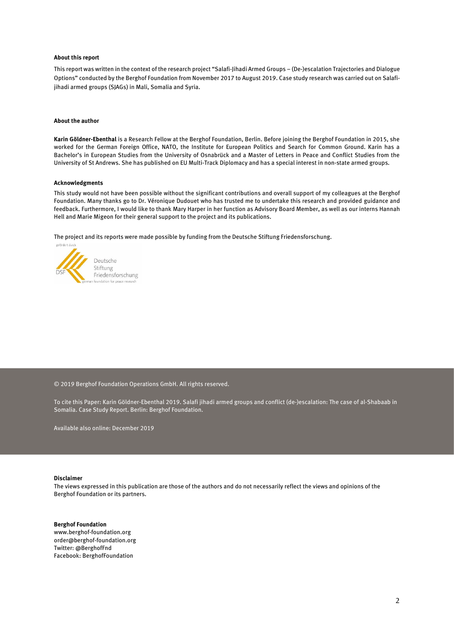#### **About this report**

This report was written in the context of the research project "Salafi-Jihadi Armed Groups – (De-)escalation Trajectories and Dialogue Options" conducted by the Berghof Foundation from November 2017 to August 2019. Case study research was carried out on Salafijihadi armed groups (SJAGs) in Mali, Somalia and Syria.

#### **About the author**

**Karin Göldner-Ebenthal** is a Research Fellow at the Berghof Foundation, Berlin. Before joining the Berghof Foundation in 2015, she worked for the German Foreign Office, NATO, the Institute for European Politics and Search for Common Ground. Karin has a Bachelor's in European Studies from the University of Osnabrück and a Master of Letters in Peace and Conflict Studies from the University of St Andrews. She has published on EU Multi-Track Diplomacy and has a special interest in non-state armed groups.

#### **Acknowledgments**

This study would not have been possible without the significant contributions and overall support of my colleagues at the Berghof Foundation. Many thanks go to Dr. Véronique Dudouet who has trusted me to undertake this research and provided guidance and feedback. Furthermore, I would like to thank Mary Harper in her function as Advisory Board Member, as well as our interns Hannah Hell and Marie Migeon for their general support to the project and its publications.

The project and its reports were made possible by funding from the Deutsche Stiftung Friedensforschung.



© 2019 Berghof Foundation Operations GmbH. All rights reserved.

To cite this Paper: Karin Göldner-Ebenthal 2019. Salafi jihadi armed groups and conflict (de-)escalation: The case of al-Shabaab in Somalia. Case Study Report. Berlin: Berghof Foundation.

Available also online: December 2019

#### **Disclaimer**

The views expressed in this publication are those of the authors and do not necessarily reflect the views and opinions of the Berghof Foundation or its partners.

#### **Berghof Foundation**

www.berghof-foundation.org order@berghof-foundation.org Twitter: @BerghofFnd Facebook: BerghofFoundation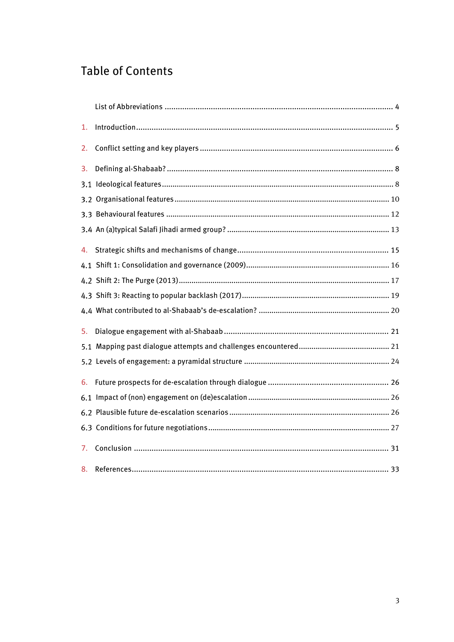### **Table of Contents**

| 1. |  |  |  |
|----|--|--|--|
| 2. |  |  |  |
| 3. |  |  |  |
|    |  |  |  |
|    |  |  |  |
|    |  |  |  |
|    |  |  |  |
| 4. |  |  |  |
|    |  |  |  |
|    |  |  |  |
|    |  |  |  |
|    |  |  |  |
| 5. |  |  |  |
|    |  |  |  |
|    |  |  |  |
| 6. |  |  |  |
|    |  |  |  |
|    |  |  |  |
|    |  |  |  |
| 7. |  |  |  |
|    |  |  |  |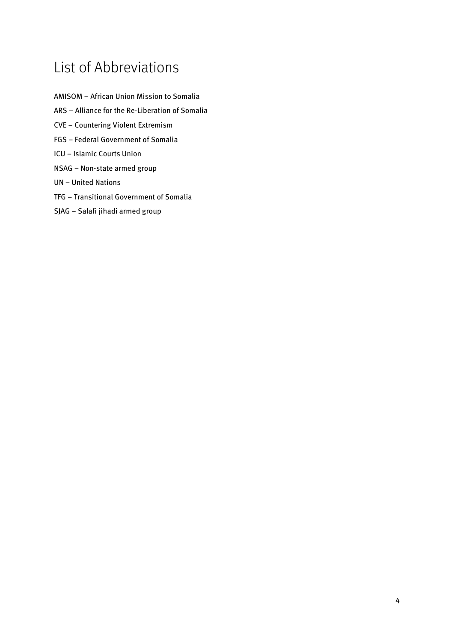# <span id="page-3-0"></span>List of Abbreviations

- AMISOM African Union Mission to Somalia ARS – Alliance for the Re-Liberation of Somalia CVE – Countering Violent Extremism FGS – Federal Government of Somalia ICU – Islamic Courts Union NSAG – Non-state armed group UN – United Nations
- TFG Transitional Government of Somalia
- SJAG Salafi jihadi armed group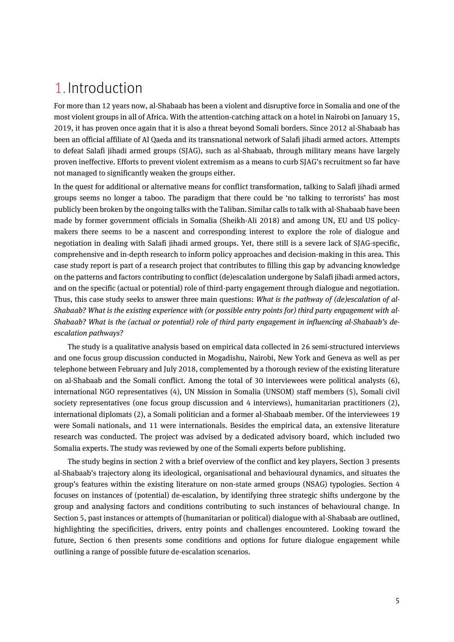# <span id="page-4-0"></span>1.Introduction

For more than 12 years now, al-Shabaab has been a violent and disruptive force in Somalia and one of the most violent groups in all of Africa. With the attention-catching attack on a hotel in Nairobi on January 15, 2019, it has proven once again that it is also a threat beyond Somali borders. Since 2012 al-Shabaab has been an official affiliate of Al Qaeda and its transnational network of Salafi jihadi armed actors. Attempts to defeat Salafi jihadi armed groups (SJAG), such as al-Shabaab, through military means have largely proven ineffective. Efforts to prevent violent extremism as a means to curb SJAG's recruitment so far have not managed to significantly weaken the groups either.

In the quest for additional or alternative means for conflict transformation, talking to Salafi jihadi armed groups seems no longer a taboo. The paradigm that there could be 'no talking to terrorists' has most publicly been broken by the ongoing talks with the Taliban. Similar calls to talk with al-Shabaab have been made by former government officials in Somalia (Sheikh-Ali 2018) and among UN, EU and US policymakers there seems to be a nascent and corresponding interest to explore the role of dialogue and negotiation in dealing with Salafi jihadi armed groups. Yet, there still is a severe lack of SJAG-specific, comprehensive and in-depth research to inform policy approaches and decision-making in this area. This case study report is part of a research project that contributes to filling this gap by advancing knowledge on the patterns and factors contributing to conflict (de)escalation undergone by Salafi jihadi armed actors, and on the specific (actual or potential) role of third-party engagement through dialogue and negotiation. Thus, this case study seeks to answer three main questions: *What is the pathway of (de)escalation of al-Shabaab? What is the existing experience with (or possible entry points for) third party engagement with al-Shabaab? What is the (actual or potential) role of third party engagement in influencing al-Shabaab's deescalation pathways?*

The study is a qualitative analysis based on empirical data collected in 26 semi-structured interviews and one focus group discussion conducted in Mogadishu, Nairobi, New York and Geneva as well as per telephone between February and July 2018, complemented by a thorough review of the existing literature on al-Shabaab and the Somali conflict. Among the total of 30 interviewees were political analysts (6), international NGO representatives (4), UN Mission in Somalia (UNSOM) staff members (5), Somali civil society representatives (one focus group discussion and 4 interviews), humanitarian practitioners (2), international diplomats (2), a Somali politician and a former al-Shabaab member. Of the interviewees 19 were Somali nationals, and 11 were internationals. Besides the empirical data, an extensive literature research was conducted. The project was advised by a dedicated advisory board, which included two Somalia experts. The study was reviewed by one of the Somali experts before publishing.

The study begins in section 2 with a brief overview of the conflict and key players, Section 3 presents al-Shabaab's trajectory along its ideological, organisational and behavioural dynamics, and situates the group's features within the existing literature on non-state armed groups (NSAG) typologies. Section 4 focuses on instances of (potential) de-escalation, by identifying three strategic shifts undergone by the group and analysing factors and conditions contributing to such instances of behavioural change. In Section 5, past instances or attempts of (humanitarian or political) dialogue with al-Shabaab are outlined, highlighting the specificities, drivers, entry points and challenges encountered. Looking toward the future, Section 6 then presents some conditions and options for future dialogue engagement while outlining a range of possible future de-escalation scenarios.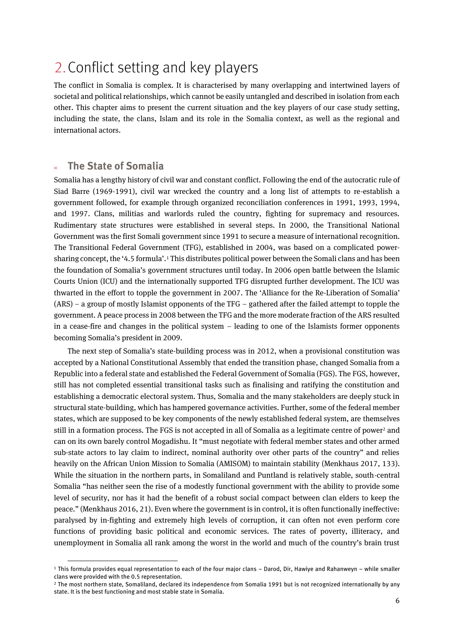# <span id="page-5-0"></span>2.Conflict setting and key players

The conflict in Somalia is complex. It is characterised by many overlapping and intertwined layers of societal and political relationships, which cannot be easily untangled and described in isolation from each other. This chapter aims to present the current situation and the key players of our case study setting, including the state, the clans, Islam and its role in the Somalia context, as well as the regional and international actors.

### **The State of Somalia**

 $\overline{a}$ 

Somalia has a lengthy history of civil war and constant conflict. Following the end of the autocratic rule of Siad Barre (1969-1991), civil war wrecked the country and a long list of attempts to re-establish a government followed, for example through organized reconciliation conferences in 1991, 1993, 1994, and 1997. Clans, militias and warlords ruled the country, fighting for supremacy and resources. Rudimentary state structures were established in several steps. In 2000, the Transitional National Government was the first Somali government since 1991 to secure a measure of international recognition. The Transitional Federal Government (TFG), established in 2004, was based on a complicated powersharing concept, the '4.5 formula'. <sup>1</sup> This distributes political power between the Somali clans and has been the foundation of Somalia's government structures until today. In 2006 open battle between the Islamic Courts Union (ICU) and the internationally supported TFG disrupted further development. The ICU was thwarted in the effort to topple the government in 2007. The 'Alliance for the Re-Liberation of Somalia' (ARS) – a group of mostly Islamist opponents of the TFG – gathered after the failed attempt to topple the government. A peace process in 2008 between the TFG and the more moderate fraction of the ARS resulted in a cease-fire and changes in the political system – leading to one of the Islamists former opponents becoming Somalia's president in 2009.

The next step of Somalia's state-building process was in 2012, when a provisional constitution was accepted by a National Constitutional Assembly that ended the transition phase, changed Somalia from a Republic into a federal state and established the Federal Government of Somalia (FGS). The FGS, however, still has not completed essential transitional tasks such as finalising and ratifying the constitution and establishing a democratic electoral system. Thus, Somalia and the many stakeholders are deeply stuck in structural state-building, which has hampered governance activities. Further, some of the federal member states, which are supposed to be key components of the newly established federal system, are themselves still in a formation process. The FGS is not accepted in all of Somalia as a legitimate centre of power<sup>2</sup> and can on its own barely control Mogadishu. It "must negotiate with federal member states and other armed sub-state actors to lay claim to indirect, nominal authority over other parts of the country" and relies heavily on the African Union Mission to Somalia (AMISOM) to maintain stability (Menkhaus 2017, 133). While the situation in the northern parts, in Somaliland and Puntland is relatively stable, south-central Somalia "has neither seen the rise of a modestly functional government with the ability to provide some level of security, nor has it had the benefit of a robust social compact between clan elders to keep the peace." (Menkhaus 2016, 21). Even where the government is in control, it is often functionally ineffective: paralysed by in-fighting and extremely high levels of corruption, it can often not even perform core functions of providing basic political and economic services. The rates of poverty, illiteracy, and unemployment in Somalia all rank among the worst in the world and much of the country's brain trust

<sup>1</sup> This formula provides equal representation to each of the four major clans – Darod, Dir, Hawiye and Rahanweyn – while smaller clans were provided with the 0.5 representation.

<sup>2</sup> The most northern state, Somaliland, declared its independence from Somalia 1991 but is not recognized internationally by any state. It is the best functioning and most stable state in Somalia.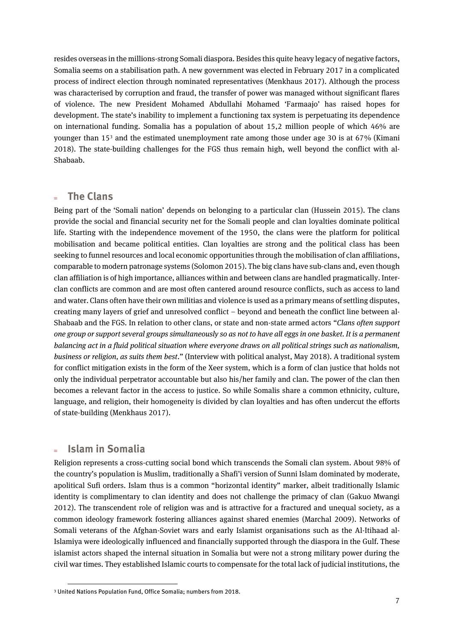resides overseas in the millions-strong Somali diaspora. Besides this quite heavy legacy of negative factors, Somalia seems on a stabilisation path. A new government was elected in February 2017 in a complicated process of indirect election through nominated representatives (Menkhaus 2017). Although the process was characterised by corruption and fraud, the transfer of power was managed without significant flares of violence. The new President Mohamed Abdullahi Mohamed 'Farmaajo' has raised hopes for development. The state's inability to implement a functioning tax system is perpetuating its dependence on international funding. Somalia has a population of about 15,2 million people of which 46% are younger than 15<sup>3</sup> and the estimated unemployment rate among those under age 30 is at 67% (Kimani 2018). The state-building challenges for the FGS thus remain high, well beyond the conflict with al-Shabaab.

### **The Clans**

Being part of the 'Somali nation' depends on belonging to a particular clan (Hussein 2015). The clans provide the social and financial security net for the Somali people and clan loyalties dominate political life. Starting with the independence movement of the 1950, the clans were the platform for political mobilisation and became political entities. Clan loyalties are strong and the political class has been seeking to funnel resources and local economic opportunities through the mobilisation of clan affiliations, comparable to modern patronage systems (Solomon 2015). The big clans have sub-clans and, even though clan affiliation is of high importance, alliances within and between clans are handled pragmatically. Interclan conflicts are common and are most often cantered around resource conflicts, such as access to land and water. Clans often have their own militias and violence is used as a primary means of settling disputes, creating many layers of grief and unresolved conflict – beyond and beneath the conflict line between al-Shabaab and the FGS. In relation to other clans, or state and non-state armed actors "*Clans often support one group or support several groups simultaneously so as not to have all eggs in one basket. It is a permanent balancing act in a fluid political situation where everyone draws on all political strings such as nationalism, business or religion, as suits them best*." (Interview with political analyst, May 2018). A traditional system for conflict mitigation exists in the form of the Xeer system, which is a form of clan justice that holds not only the individual perpetrator accountable but also his/her family and clan. The power of the clan then becomes a relevant factor in the access to justice. So while Somalis share a common ethnicity, culture, language, and religion, their homogeneity is divided by clan loyalties and has often undercut the efforts of state-building (Menkhaus 2017).

### **Islam in Somalia**

 $\overline{a}$ 

Religion represents a cross-cutting social bond which transcends the Somali clan system. About 98% of the country's population is Muslim, traditionally a Shafi'i version of Sunni Islam dominated by moderate, apolitical Sufi orders. Islam thus is a common "horizontal identity" marker, albeit traditionally Islamic identity is complimentary to clan identity and does not challenge the primacy of clan (Gakuo Mwangi 2012). The transcendent role of religion was and is attractive for a fractured and unequal society, as a common ideology framework fostering alliances against shared enemies (Marchal 2009). Networks of Somali veterans of the Afghan-Soviet wars and early Islamist organisations such as the Al-Itihaad al-Islamiya were ideologically influenced and financially supported through the diaspora in the Gulf. These islamist actors shaped the internal situation in Somalia but were not a strong military power during the civil war times. They established Islamic courts to compensate for the total lack of judicial institutions, the

<sup>3</sup> United Nations Population Fund, Office Somalia; numbers from 2018.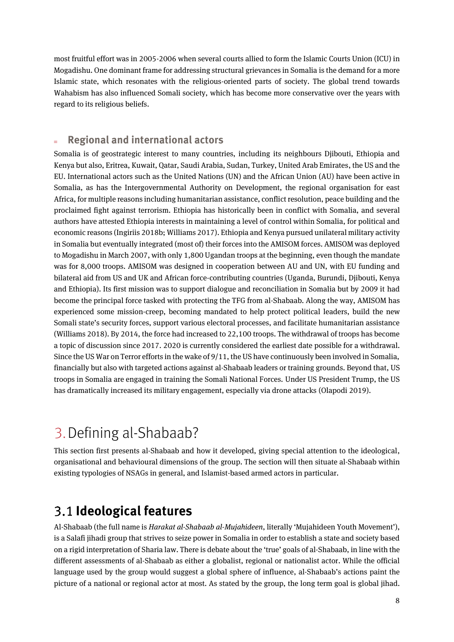most fruitful effort was in 2005-2006 when several courts allied to form the Islamic Courts Union (ICU) in Mogadishu. One dominant frame for addressing structural grievances in Somalia is the demand for a more Islamic state, which resonates with the religious-oriented parts of society. The global trend towards Wahabism has also influenced Somali society, which has become more conservative over the years with regard to its religious beliefs.

### **Regional and international actors**

Somalia is of geostrategic interest to many countries, including its neighbours Djibouti, Ethiopia and Kenya but also, Eritrea, Kuwait, Qatar, Saudi Arabia, Sudan, Turkey, United Arab Emirates, the US and the EU. International actors such as the United Nations (UN) and the African Union (AU) have been active in Somalia, as has the Intergovernmental Authority on Development, the regional organisation for east Africa, for multiple reasons including humanitarian assistance, conflict resolution, peace building and the proclaimed fight against terrorism. Ethiopia has historically been in conflict with Somalia, and several authors have attested Ethiopia interests in maintaining a level of control within Somalia, for political and economic reasons (Ingiriis 2018b; Williams 2017). Ethiopia and Kenya pursued unilateral military activity in Somalia but eventually integrated (most of) their forces into the AMISOM forces. AMISOM was deployed to Mogadishu in March 2007, with only 1,800 Ugandan troops at the beginning, even though the mandate was for 8,000 troops. AMISOM was designed in cooperation between AU and UN, with EU funding and bilateral aid from US and UK and African force-contributing countries (Uganda, Burundi, Djibouti, Kenya and Ethiopia). Its first mission was to support dialogue and reconciliation in Somalia but by 2009 it had become the principal force tasked with protecting the TFG from al-Shabaab. Along the way, AMISOM has experienced some mission-creep, becoming mandated to help protect political leaders, build the new Somali state's security forces, support various electoral processes, and facilitate humanitarian assistance (Williams 2018). By 2014, the force had increased to 22,100 troops. The withdrawal of troops has become a topic of discussion since 2017. 2020 is currently considered the earliest date possible for a withdrawal. Since the US War on Terror efforts in the wake of 9/11, the US have continuously been involved in Somalia, financially but also with targeted actions against al-Shabaab leaders or training grounds. Beyond that, US troops in Somalia are engaged in training the Somali National Forces. Under US President Trump, the US has dramatically increased its military engagement, especially via drone attacks (Olapodi 2019).

# <span id="page-7-0"></span>3.Defining al-Shabaab?

This section first presents al-Shabaab and how it developed, giving special attention to the ideological, organisational and behavioural dimensions of the group. The section will then situate al-Shabaab within existing typologies of NSAGs in general, and Islamist-based armed actors in particular.

### <span id="page-7-1"></span>**Ideological features**

Al-Shabaab (the full name is *Harakat al-Shabaab al-Mujahideen*, literally 'Mujahideen Youth Movement'), is a Salafi jihadi group that strives to seize power in Somalia in order to establish a state and society based on a rigid interpretation of Sharia law. There is debate about the 'true' goals of al-Shabaab, in line with the different assessments of al-Shabaab as either a globalist, regional or nationalist actor. While the official language used by the group would suggest a global sphere of influence, al-Shabaab's actions paint the picture of a national or regional actor at most. As stated by the group, the long term goal is global jihad.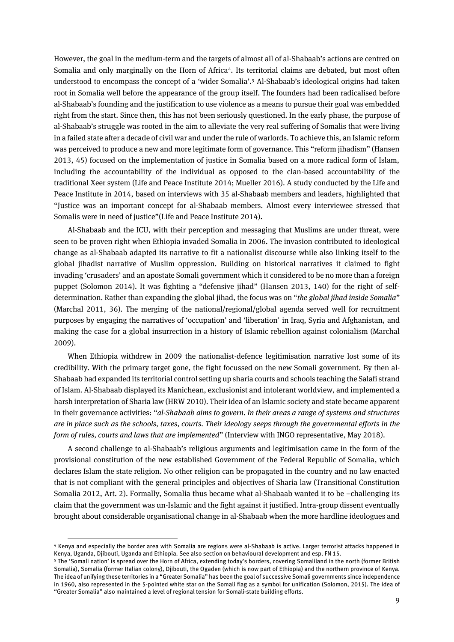However, the goal in the medium-term and the targets of almost all of al-Shabaab's actions are centred on Somalia and only marginally on the Horn of Africa<sup>4</sup>. Its territorial claims are debated, but most often understood to encompass the concept of a 'wider Somalia'.<sup>5</sup> Al-Shabaab's ideological origins had taken root in Somalia well before the appearance of the group itself. The founders had been radicalised before al-Shabaab's founding and the justification to use violence as a means to pursue their goal was embedded right from the start. Since then, this has not been seriously questioned. In the early phase, the purpose of al-Shabaab's struggle was rooted in the aim to alleviate the very real suffering of Somalis that were living in a failed state after a decade of civil war and under the rule ofwarlords. To achieve this, an Islamic reform was perceived to produce a new and more legitimate form of governance. This "reform jihadism" (Hansen 2013, 45) focused on the implementation of justice in Somalia based on a more radical form of Islam, including the accountability of the individual as opposed to the clan-based accountability of the traditional Xeer system (Life and Peace Institute 2014; Mueller 2016). A study conducted by the Life and Peace Institute in 2014, based on interviews with 35 al-Shabaab members and leaders, highlighted that "Justice was an important concept for al-Shabaab members. Almost every interviewee stressed that Somalis were in need of justice"(Life and Peace Institute 2014).

Al-Shabaab and the ICU, with their perception and messaging that Muslims are under threat, were seen to be proven right when Ethiopia invaded Somalia in 2006. The invasion contributed to ideological change as al-Shabaab adapted its narrative to fit a nationalist discourse while also linking itself to the global jihadist narrative of Muslim oppression. Building on historical narratives it claimed to fight invading 'crusaders' and an apostate Somali government which it considered to be no more than a foreign puppet (Solomon 2014). It was fighting a "defensive jihad" (Hansen 2013, 140) for the right of selfdetermination. Rather than expanding the global jihad, the focus was on "*the global jihad inside Somalia*" (Marchal 2011, 36). The merging of the national/regional/global agenda served well for recruitment purposes by engaging the narratives of 'occupation' and 'liberation' in Iraq, Syria and Afghanistan, and making the case for a global insurrection in a history of Islamic rebellion against colonialism (Marchal 2009).

When Ethiopia withdrew in 2009 the nationalist-defence legitimisation narrative lost some of its credibility. With the primary target gone, the fight focussed on the new Somali government. By then al-Shabaab had expanded its territorial control setting up sharia courts and schools teaching the Salafi strand of Islam. Al-Shabaab displayed its Manichean, exclusionist and intolerant worldview, and implemented a harsh interpretation of Sharia law(HRW 2010). Their idea of an Islamic society and state became apparent in their governance activities: "*al-Shabaab aims to govern. In their areas a range of systems and structures are in place such as the schools, taxes, courts. Their ideology seeps through the governmental efforts in the form of rules, courts and laws that are implemented*" (Interview with INGO representative, May 2018).

A second challenge to al-Shabaab's religious arguments and legitimisation came in the form of the provisional constitution of the new established Government of the Federal Republic of Somalia, which declares Islam the state religion. No other religion can be propagated in the country and no law enacted that is not compliant with the general principles and objectives of Sharia law (Transitional Constitution Somalia 2012, Art. 2). Formally, Somalia thus became what al-Shabaab wanted it to be –challenging its claim that the government was un-Islamic and the fight against it justified. Intra-group dissent eventually brought about considerable organisational change in al-Shabaab when the more hardline ideologues and

<sup>4</sup> Kenya and especially the border area with Somalia are regions were al-Shabaab is active. Larger terrorist attacks happened in Kenya, Uganda, Djibouti, Uganda and Ethiopia. See also section on behavioural development and esp. FN 15.

<sup>5</sup> The 'Somali nation' is spread over the Horn of Africa, extending today's borders, covering Somaliland in the north (former British Somalia), Somalia (former Italian colony), Djibouti, the Ogaden (which is now part of Ethiopia) and the northern province of Kenya. The idea of unifying these territories in a "Greater Somalia" has been the goal of successive Somali governments since independence in 1960, also represented in the 5-pointed white star on the Somali flag as a symbol for unification (Solomon, 2015). The idea of "Greater Somalia" also maintained a level of regional tension for Somali-state building efforts.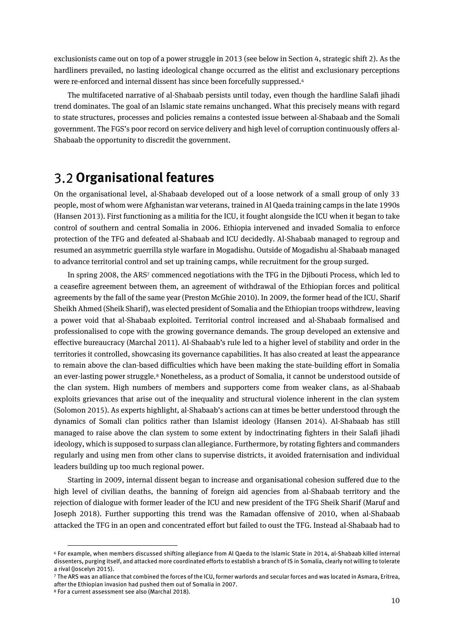exclusionists came out on top of a power struggle in 2013 (see below in Section 4, strategic shift 2). As the hardliners prevailed, no lasting ideological change occurred as the elitist and exclusionary perceptions were re-enforced and internal dissent has since been forcefully suppressed.<sup>6</sup>

The multifaceted narrative of al-Shabaab persists until today, even though the hardline Salafi jihadi trend dominates. The goal of an Islamic state remains unchanged. What this precisely means with regard to state structures, processes and policies remains a contested issue between al-Shabaab and the Somali government. The FGS's poor record on service delivery and high level of corruption continuously offers al-Shabaab the opportunity to discredit the government.

### <span id="page-9-0"></span>**Organisational features**

On the organisational level, al-Shabaab developed out of a loose network of a small group of only 33 people, most of whom were Afghanistan war veterans, trained in Al Qaeda training camps in the late 1990s (Hansen 2013). First functioning as a militia for the ICU, it fought alongside the ICU when it began to take control of southern and central Somalia in 2006. Ethiopia intervened and invaded Somalia to enforce protection of the TFG and defeated al-Shabaab and ICU decidedly. Al-Shabaab managed to regroup and resumed an asymmetric guerrilla style warfare in Mogadishu. Outside of Mogadishu al-Shabaab managed to advance territorial control and set up training camps, while recruitment for the group surged.

In spring 2008, the ARS<sup>7</sup> commenced negotiations with the TFG in the Djibouti Process, which led to a ceasefire agreement between them, an agreement of withdrawal of the Ethiopian forces and political agreements by the fall of the same year (Preston McGhie 2010). In 2009, the former head of the ICU, Sharif Sheikh Ahmed (Sheik Sharif), was elected president of Somalia and the Ethiopian troops withdrew, leaving a power void that al-Shabaab exploited. Territorial control increased and al-Shabaab formalised and professionalised to cope with the growing governance demands. The group developed an extensive and effective bureaucracy (Marchal 2011). Al-Shabaab's rule led to a higher level of stability and order in the territories it controlled, showcasing its governance capabilities. It has also created at least the appearance to remain above the clan-based difficulties which have been making the state-building effort in Somalia an ever-lasting power struggle.<sup>8</sup> Nonetheless, as a product of Somalia, it cannot be understood outside of the clan system. High numbers of members and supporters come from weaker clans, as al-Shabaab exploits grievances that arise out of the inequality and structural violence inherent in the clan system (Solomon 2015). As experts highlight, al-Shabaab's actions can at times be better understood through the dynamics of Somali clan politics rather than Islamist ideology (Hansen 2014). Al-Shabaab has still managed to raise above the clan system to some extent by indoctrinating fighters in their Salafi jihadi ideology, which is supposed to surpass clan allegiance. Furthermore, by rotating fighters and commanders regularly and using men from other clans to supervise districts, it avoided fraternisation and individual leaders building up too much regional power.

Starting in 2009, internal dissent began to increase and organisational cohesion suffered due to the high level of civilian deaths, the banning of foreign aid agencies from al-Shabaab territory and the rejection of dialogue with former leader of the ICU and new president of the TFG Sheik Sharif (Maruf and Joseph 2018). Further supporting this trend was the Ramadan offensive of 2010, when al-Shabaab attacked the TFG in an open and concentrated effort but failed to oust the TFG. Instead al-Shabaab had to

<sup>6</sup> For example, when members discussed shifting allegiance from Al Qaeda to the Islamic State in 2014, al-Shabaab killed internal dissenters, purging itself, and attacked more coordinated efforts to establish a branch of IS in Somalia, clearly not willing to tolerate a rival (Joscelyn 2015).

<sup>7</sup> The ARS was an alliance that combined the forces of the ICU, former warlords and secular forces and was located in Asmara, Eritrea, after the Ethiopian invasion had pushed them out of Somalia in 2007.

<sup>8</sup> For a current assessment see also (Marchal 2018).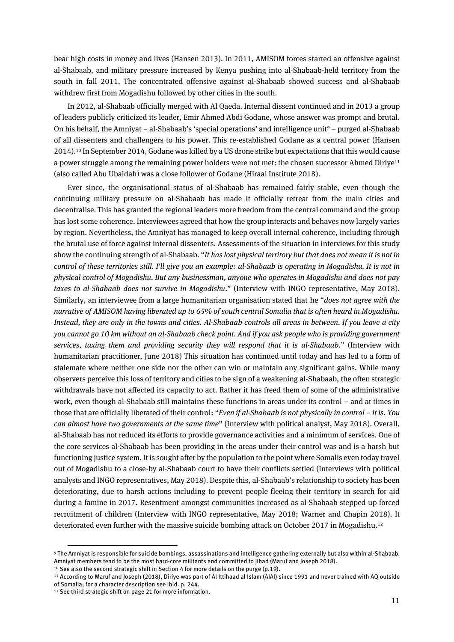bear high costs in money and lives (Hansen 2013). In 2011, AMISOM forces started an offensive against al-Shabaab, and military pressure increased by Kenya pushing into al-Shabaab-held territory from the south in fall 2011. The concentrated offensive against al-Shabaab showed success and al-Shabaab withdrew first from Mogadishu followed by other cities in the south.

In 2012, al-Shabaab officially merged with Al Qaeda. Internal dissent continued and in 2013 a group of leaders publicly criticized its leader, Emir Ahmed Abdi Godane, whose answer was prompt and brutal. On his behalf, the Amniyat – al-Shabaab's 'special operations' and intelligence unit<sup>9</sup> – purged al-Shabaab of all dissenters and challengers to his power. This re-established Godane as a central power (Hansen 2014). <sup>10</sup> In September 2014, Godane was killed by a US drone strike but expectations that this would cause a power struggle among the remaining power holders were not met: the chosen successor Ahmed Diriye<sup>11</sup> (also called Abu Ubaidah) was a close follower of Godane (Hiraal Institute 2018).

Ever since, the organisational status of al-Shabaab has remained fairly stable, even though the continuing military pressure on al-Shabaab has made it officially retreat from the main cities and decentralise. This has granted the regional leaders more freedom from the central command and the group has lost some coherence. Interviewees agreed that how the group interacts and behaves now largely varies by region. Nevertheless, the Amniyat has managed to keep overall internal coherence, including through the brutal use of force against internal dissenters. Assessments of the situation in interviews for this study show the continuing strength of al-Shabaab. "*It has lost physical territory but that does not mean it is not in control of these territories still. I'll give you an example: al-Shabaab is operating in Mogadishu. It is not in physical control of Mogadishu. But any businessman, anyone who operates in Mogadishu and does not pay taxes to al-Shabaab does not survive in Mogadishu*." (Interview with INGO representative, May 2018). Similarly, an interviewee from a large humanitarian organisation stated that he "*does not agree with the narrative of AMISOM having liberated up to 65% of south central Somalia that is often heard in Mogadishu. Instead, they are only in the towns and cities. Al-Shabaab controls all areas in between. If you leave a city you cannot go 10 km without an al-Shabaab check point. And if you ask people who is providing government services, taxing them and providing security they will respond that it is al-Shabaab*." (Interview with humanitarian practitioner, June 2018) This situation has continued until today and has led to a form of stalemate where neither one side nor the other can win or maintain any significant gains. While many observers perceive this loss of territory and cities to be sign of a weakening al-Shabaab, the often strategic withdrawals have not affected its capacity to act. Rather it has freed them of some of the administrative work, even though al-Shabaab still maintains these functions in areas under its control – and at times in those that are officially liberated of their control: "*Even if al-Shabaab is not physically in control – it is. You can almost have two governments at the same time*" (Interview with political analyst, May 2018). Overall, al-Shabaab has not reduced its efforts to provide governance activities and a minimum of services. One of the core services al-Shabaab has been providing in the areas under their control was and is a harsh but functioning justice system. It is sought after by the population to the point where Somalis even today travel out of Mogadishu to a close-by al-Shabaab court to have their conflicts settled (Interviews with political analysts and INGO representatives, May 2018). Despite this, al-Shabaab's relationship to society has been deteriorating, due to harsh actions including to prevent people fleeing their territory in search for aid during a famine in 2017. Resentment amongst communities increased as al-Shabaab stepped up forced recruitment of children (Interview with INGO representative, May 2018; Warner and Chapin 2018). It deteriorated even further with the massive suicide bombing attack on October 2017 in Mogadishu.<sup>12</sup>

<sup>9</sup> The Amniyat is responsible for suicide bombings, assassinations and intelligence gathering externally but also within al-Shabaab. Amniyat members tend to be the most hard-core militants and committed to jihad (Maruf and Joseph 2018).

<sup>&</sup>lt;sup>10</sup> See also the second strategic shift in Section 4 for more details on the purge (p.19).

<sup>11</sup> According to Maruf and Joseph (2018), Diriye was part of Al Ittihaad al Islam (AIAI) since 1991 and never trained with AQ outside of Somalia; for a character description see Ibid. p. 244.

<sup>12</sup> See third strategic shift on page 21 for more information.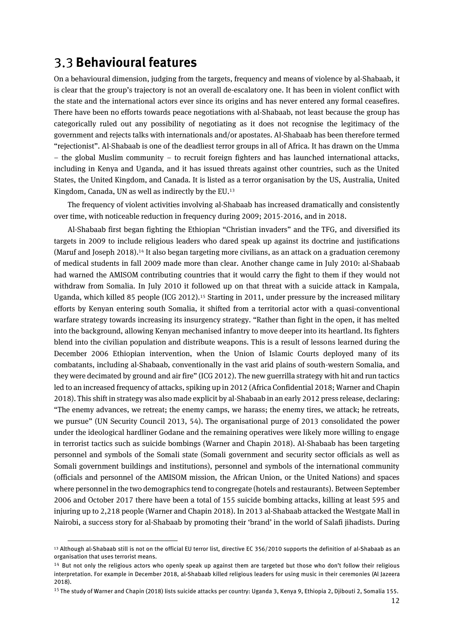### <span id="page-11-0"></span>**Behavioural features**

 $\overline{a}$ 

On a behavioural dimension, judging from the targets, frequency and means of violence by al-Shabaab, it is clear that the group's trajectory is not an overall de-escalatory one. It has been in violent conflict with the state and the international actors ever since its origins and has never entered any formal ceasefires. There have been no efforts towards peace negotiations with al-Shabaab, not least because the group has categorically ruled out any possibility of negotiating as it does not recognise the legitimacy of the government and rejects talks with internationals and/or apostates. Al-Shabaab has been therefore termed "rejectionist". Al-Shabaab is one of the deadliest terror groups in all of Africa. It has drawn on the Umma – the global Muslim community – to recruit foreign fighters and has launched international attacks, including in Kenya and Uganda, and it has issued threats against other countries, such as the United States, the United Kingdom, and Canada. It is listed as a terror organisation by the US, Australia, United Kingdom, Canada, UN as well as indirectly by the EU. 13

The frequency of violent activities involving al-Shabaab has increased dramatically and consistently over time, with noticeable reduction in frequency during 2009; 2015-2016, and in 2018.

Al-Shabaab first began fighting the Ethiopian "Christian invaders" and the TFG, and diversified its targets in 2009 to include religious leaders who dared speak up against its doctrine and justifications (Maruf and Joseph 2018). <sup>14</sup> It also began targeting more civilians, as an attack on a graduation ceremony of medical students in fall 2009 made more than clear. Another change came in July 2010: al-Shabaab had warned the AMISOM contributing countries that it would carry the fight to them if they would not withdraw from Somalia. In July 2010 it followed up on that threat with a suicide attack in Kampala, Uganda, which killed 85 people (ICG 2012). <sup>15</sup> Starting in 2011, under pressure by the increased military efforts by Kenyan entering south Somalia, it shifted from a territorial actor with a quasi-conventional warfare strategy towards increasing its insurgency strategy. "Rather than fight in the open, it has melted into the background, allowing Kenyan mechanised infantry to move deeper into its heartland. Its fighters blend into the civilian population and distribute weapons. This is a result of lessons learned during the December 2006 Ethiopian intervention, when the Union of Islamic Courts deployed many of its combatants, including al-Shabaab, conventionally in the vast arid plains of south-western Somalia, and they were decimated by ground and air fire" (ICG 2012). The new guerrilla strategy with hit and run tactics led to an increased frequency of attacks, spiking up in 2012 (Africa Confidential 2018; Warner and Chapin 2018). This shift in strategy was also made explicit by al-Shabaab in an early 2012 press release, declaring: "The enemy advances, we retreat; the enemy camps, we harass; the enemy tires, we attack; he retreats, we pursue" (UN Security Council 2013, 54). The organisational purge of 2013 consolidated the power under the ideological hardliner Godane and the remaining operatives were likely more willing to engage in terrorist tactics such as suicide bombings (Warner and Chapin 2018). Al-Shabaab has been targeting personnel and symbols of the Somali state (Somali government and security sector officials as well as Somali government buildings and institutions), personnel and symbols of the international community (officials and personnel of the AMISOM mission, the African Union, or the United Nations) and spaces where personnel in the two demographics tend to congregate (hotels and restaurants). Between September 2006 and October 2017 there have been a total of 155 suicide bombing attacks, killing at least 595 and injuring up to 2,218 people (Warner and Chapin 2018). In 2013 al-Shabaab attacked the Westgate Mall in Nairobi, a success story for al-Shabaab by promoting their 'brand' in the world of Salafi jihadists. During

<sup>13</sup> Although al-Shabaab still is not on the official EU terror list, directive EC 356/2010 supports the definition of al-Shabaab as an organisation that uses terrorist means.

 $14$  But not only the religious actors who openly speak up against them are targeted but those who don't follow their religious interpretation. For example in December 2018, al-Shabaab killed religious leaders for using music in their ceremonies (Al Jazeera 2018).

<sup>&</sup>lt;sup>15</sup> The study of Warner and Chapin (2018) lists suicide attacks per country: Uganda 3, Kenya 9, Ethiopia 2, Djibouti 2, Somalia 155.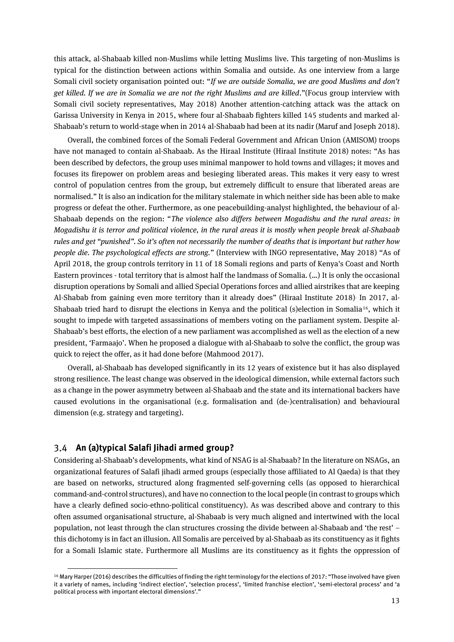this attack, al-Shabaab killed non-Muslims while letting Muslims live. This targeting of non-Muslims is typical for the distinction between actions within Somalia and outside. As one interview from a large Somali civil society organisation pointed out: "*If we are outside Somalia, we are good Muslims and don't get killed. If we are in Somalia we are not the right Muslims and are killed*."(Focus group interview with Somali civil society representatives, May 2018) Another attention-catching attack was the attack on Garissa University in Kenya in 2015, where four al-Shabaab fighters killed 145 students and marked al-Shabaab's return to world-stage when in 2014 al-Shabaab had been at its nadir (Maruf and Joseph 2018).

Overall, the combined forces of the Somali Federal Government and African Union (AMISOM) troops have not managed to contain al-Shabaab. As the Hiraal Institute (Hiraal Institute 2018) notes: "As has been described by defectors, the group uses minimal manpower to hold towns and villages; it moves and focuses its firepower on problem areas and besieging liberated areas. This makes it very easy to wrest control of population centres from the group, but extremely difficult to ensure that liberated areas are normalised." It is also an indication for the military stalemate in which neither side has been able to make progress or defeat the other. Furthermore, as one peacebuilding-analyst highlighted, the behaviour of al-Shabaab depends on the region: "*The violence also differs between Mogadishu and the rural areas: in Mogadishu it is terror and political violence, in the rural areas it is mostly when people break al-Shabaab rules and get "punished". So it's often not necessarily the number of deaths that is important but rather how people die. The psychological effects are strong.*" (Interview with INGO representative, May 2018) "As of April 2018, the group controls territory in 11 of 18 Somali regions and parts of Kenya's Coast and North Eastern provinces - total territory that is almost half the landmass of Somalia. (…) It is only the occasional disruption operations by Somali and allied Special Operations forces and allied airstrikes that are keeping Al-Shabab from gaining even more territory than it already does" (Hiraal Institute 2018). In 2017, al-Shabaab tried hard to disrupt the elections in Kenya and the political (s)election in Somalia<sup>16</sup>, which it sought to impede with targeted assassinations of members voting on the parliament system. Despite al-Shabaab's best efforts, the election of a new parliament was accomplished as well as the election of a new president, 'Farmaajo'. When he proposed a dialogue with al-Shabaab to solve the conflict, the group was quick to reject the offer, as it had done before (Mahmood 2017).

Overall, al-Shabaab has developed significantly in its 12 years of existence but it has also displayed strong resilience. The least change was observed in the ideological dimension, while external factors such as a change in the power asymmetry between al-Shabaab and the state and its international backers have caused evolutions in the organisational (e.g. formalisation and (de-)centralisation) and behavioural dimension (e.g. strategy and targeting).

#### <span id="page-12-0"></span>**An (a)typical Salafi Jihadi armed group?**

 $\overline{a}$ 

Considering al-Shabaab's developments, what kind of NSAG is al-Shabaab? In the literature on NSAGs, an organizational features of Salafi jihadi armed groups (especially those affiliated to Al Qaeda) is that they are based on networks, structured along fragmented self-governing cells (as opposed to hierarchical command-and-control structures), and have no connection to the local people (in contrast to groups which have a clearly defined socio-ethno-political constituency). As was described above and contrary to this often assumed organisational structure, al-Shabaab is very much aligned and intertwined with the local population, not least through the clan structures crossing the divide between al-Shabaab and 'the rest' – this dichotomy is in fact an illusion. All Somalis are perceived by al-Shabaab as its constituency as it fights for a Somali Islamic state. Furthermore all Muslims are its constituency as it fights the oppression of

<sup>&</sup>lt;sup>16</sup> Mary Harper (2016) describes the difficulties of finding the right terminology for the elections of 2017: "Those involved have given it a variety of names, including 'indirect election', 'selection process', 'limited franchise election', 'semi-electoral process' and 'a political process with important electoral dimensions'."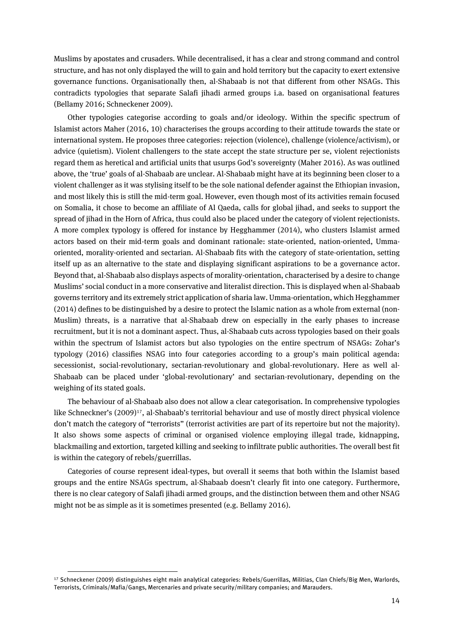Muslims by apostates and crusaders. While decentralised, it has a clear and strong command and control structure, and has not only displayed the will to gain and hold territory but the capacity to exert extensive governance functions. Organisationally then, al-Shabaab is not that different from other NSAGs. This contradicts typologies that separate Salafi jihadi armed groups i.a. based on organisational features (Bellamy 2016; Schneckener 2009).

Other typologies categorise according to goals and/or ideology. Within the specific spectrum of Islamist actors Maher (2016, 10) characterises the groups according to their attitude towards the state or international system. He proposes three categories: rejection (violence), challenge (violence/activism), or advice (quietism). Violent challengers to the state accept the state structure per se, violent rejectionists regard them as heretical and artificial units that usurps God's sovereignty (Maher 2016). As was outlined above, the 'true' goals of al-Shabaab are unclear. Al-Shabaab might have at its beginning been closer to a violent challenger as it was stylising itself to be the sole national defender against the Ethiopian invasion, and most likely this is still the mid-term goal. However, even though most of its activities remain focused on Somalia, it chose to become an affiliate of Al Qaeda, calls for global jihad, and seeks to support the spread of jihad in the Horn of Africa, thus could also be placed under the category of violent rejectionists. A more complex typology is offered for instance by Hegghammer (2014), who clusters Islamist armed actors based on their mid-term goals and dominant rationale: state-oriented, nation-oriented, Ummaoriented, morality-oriented and sectarian. Al-Shabaab fits with the category of state-orientation, setting itself up as an alternative to the state and displaying significant aspirations to be a governance actor. Beyond that, al-Shabaab also displays aspects of morality-orientation, characterised by a desire to change Muslims' social conduct in a more conservative and literalist direction. This is displayed when al-Shabaab governs territory and its extremely strict application of sharia law. Umma-orientation,which Hegghammer (2014) defines to be distinguished by a desire to protect the Islamic nation as a whole from external (non-Muslim) threats, is a narrative that al-Shabaab drew on especially in the early phases to increase recruitment, but it is not a dominant aspect. Thus, al-Shabaab cuts across typologies based on their goals within the spectrum of Islamist actors but also typologies on the entire spectrum of NSAGs: Zohar's typology (2016) classifies NSAG into four categories according to a group's main political agenda: secessionist, social-revolutionary, sectarian-revolutionary and global-revolutionary. Here as well al-Shabaab can be placed under 'global-revolutionary' and sectarian-revolutionary, depending on the weighing of its stated goals.

The behaviour of al-Shabaab also does not allow a clear categorisation. In comprehensive typologies like Schneckner's (2009)<sup>17</sup>, al-Shabaab's territorial behaviour and use of mostly direct physical violence don't match the category of "terrorists" (terrorist activities are part of its repertoire but not the majority). It also shows some aspects of criminal or organised violence employing illegal trade, kidnapping, blackmailing and extortion, targeted killing and seeking to infiltrate public authorities. The overall best fit is within the category of rebels/guerrillas.

Categories of course represent ideal-types, but overall it seems that both within the Islamist based groups and the entire NSAGs spectrum, al-Shabaab doesn't clearly fit into one category. Furthermore, there is no clear category of Salafi jihadi armed groups, and the distinction between them and other NSAG might not be as simple as it is sometimes presented (e.g. Bellamy 2016).

<sup>17</sup> Schneckener (2009) distinguishes eight main analytical categories: Rebels/Guerrillas, Militias, Clan Chiefs/Big Men, Warlords, Terrorists, Criminals/Mafia/Gangs, Mercenaries and private security/military companies; and Marauders.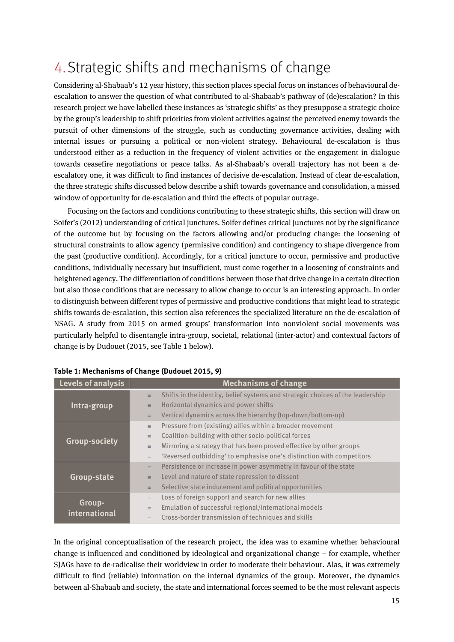# <span id="page-14-0"></span>4.Strategic shifts and mechanisms of change

Considering al-Shabaab's 12 year history, this section places special focus on instances of behavioural deescalation to answer the question of what contributed to al-Shabaab's pathway of (de)escalation? In this research project we have labelled these instances as 'strategic shifts' as they presuppose a strategic choice by the group's leadership to shift priorities from violent activities against the perceived enemy towards the pursuit of other dimensions of the struggle, such as conducting governance activities, dealing with internal issues or pursuing a political or non-violent strategy. Behavioural de-escalation is thus understood either as a reduction in the frequency of violent activities or the engagement in dialogue towards ceasefire negotiations or peace talks. As al-Shabaab's overall trajectory has not been a deescalatory one, it was difficult to find instances of decisive de-escalation. Instead of clear de-escalation, the three strategic shifts discussed below describe a shift towards governance and consolidation, a missed window of opportunity for de-escalation and third the effects of popular outrage.

Focusing on the factors and conditions contributing to these strategic shifts, this section will draw on Soifer's (2012) understanding of critical junctures. Soifer defines critical junctures not by the significance of the outcome but by focusing on the factors allowing and/or producing change: the loosening of structural constraints to allow agency (permissive condition) and contingency to shape divergence from the past (productive condition). Accordingly, for a critical juncture to occur, permissive and productive conditions, individually necessary but insufficient, must come together in a loosening of constraints and heightened agency. The differentiation of conditions between those that drive change in a certain direction but also those conditions that are necessary to allow change to occur is an interesting approach. In order to distinguish between different types of permissive and productive conditions that might lead to strategic shifts towards de-escalation, this section also references the specialized literature on the de-escalation of NSAG. A study from 2015 on armed groups' transformation into nonviolent social movements was particularly helpful to disentangle intra-group, societal, relational (inter-actor) and contextual factors of change is by Dudouet (2015, see Table 1 below).

| Levels of analysis   | <b>Mechanisms of change</b> |                                                                                |  |
|----------------------|-----------------------------|--------------------------------------------------------------------------------|--|
|                      | $\equiv$                    | Shifts in the identity, belief systems and strategic choices of the leadership |  |
| Intra-group          | $\equiv$                    | Horizontal dynamics and power shifts                                           |  |
|                      | $\equiv$                    | Vertical dynamics across the hierarchy (top-down/bottom-up)                    |  |
|                      | $\equiv$                    | Pressure from (existing) allies within a broader movement                      |  |
|                      | $\equiv$                    | Coalition-building with other socio-political forces                           |  |
| <b>Group-society</b> | $\equiv$                    | Mirroring a strategy that has been proved effective by other groups            |  |
|                      | $\equiv$                    | 'Reversed outbidding' to emphasise one's distinction with competitors          |  |
|                      | $\equiv$                    | Persistence or increase in power asymmetry in favour of the state              |  |
| <b>Group-state</b>   | $\equiv$                    | Level and nature of state repression to dissent                                |  |
|                      | $\equiv$                    | Selective state inducement and political opportunities                         |  |
|                      | $\equiv$                    | Loss of foreign support and search for new allies                              |  |
| Group-               | $\equiv$                    | Emulation of successful regional/international models                          |  |
| international        | $\equiv$                    | Cross-border transmission of techniques and skills                             |  |

**Table 1: Mechanisms of Change (Dudouet 2015, 9)**

In the original conceptualisation of the research project, the idea was to examine whether behavioural change is influenced and conditioned by ideological and organizational change – for example, whether SJAGs have to de-radicalise their worldview in order to moderate their behaviour. Alas, it was extremely difficult to find (reliable) information on the internal dynamics of the group. Moreover, the dynamics between al-Shabaab and society, the state and international forces seemed to be the most relevant aspects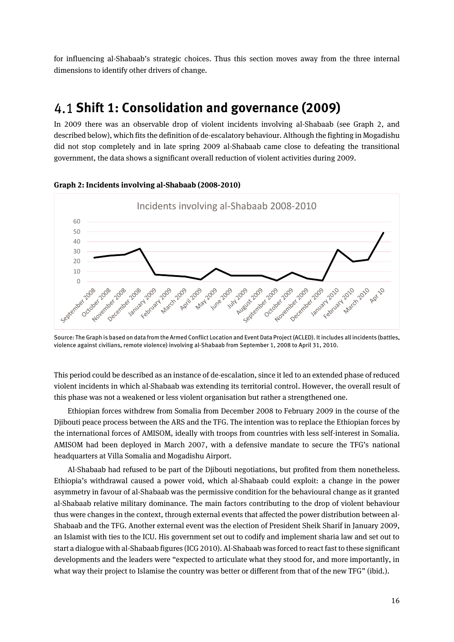for influencing al-Shabaab's strategic choices. Thus this section moves away from the three internal dimensions to identify other drivers of change.

### <span id="page-15-0"></span>**Shift 1: Consolidation and governance (2009)**

In 2009 there was an observable drop of violent incidents involving al-Shabaab (see Graph 2, and described below), which fits the definition of de-escalatory behaviour. Although the fighting in Mogadishu did not stop completely and in late spring 2009 al-Shabaab came close to defeating the transitional government, the data shows a significant overall reduction of violent activities during 2009.



#### **Graph 2: Incidents involving al-Shabaab (2008-2010)**

Source: The Graph is based on data from the Armed Conflict Location and Event Data Project (ACLED). It includes all incidents (battles, violence against civilians, remote violence) involving al-Shabaab from September 1, 2008 to April 31, 2010.

This period could be described as an instance of de-escalation, since it led to an extended phase of reduced violent incidents in which al-Shabaab was extending its territorial control. However, the overall result of this phase was not a weakened or less violent organisation but rather a strengthened one.

Ethiopian forces withdrew from Somalia from December 2008 to February 2009 in the course of the Djibouti peace process between the ARS and the TFG. The intention was to replace the Ethiopian forces by the international forces of AMISOM, ideally with troops from countries with less self-interest in Somalia. AMISOM had been deployed in March 2007, with a defensive mandate to secure the TFG's national headquarters at Villa Somalia and Mogadishu Airport.

Al-Shabaab had refused to be part of the Djibouti negotiations, but profited from them nonetheless. Ethiopia's withdrawal caused a power void, which al-Shabaab could exploit: a change in the power asymmetry in favour of al-Shabaab was the permissive condition for the behavioural change as it granted al-Shabaab relative military dominance. The main factors contributing to the drop of violent behaviour thus were changes in the context, through external events that affected the power distribution between al-Shabaab and the TFG. Another external event was the election of President Sheik Sharif in January 2009, an Islamist with ties to the ICU. His government set out to codify and implement sharia law and set out to start a dialogue with al-Shabaab figures (ICG 2010). Al-Shabaabwas forced to react fast to these significant developments and the leaders were "expected to articulate what they stood for, and more importantly, in what way their project to Islamise the country was better or different from that of the new TFG" (ibid.).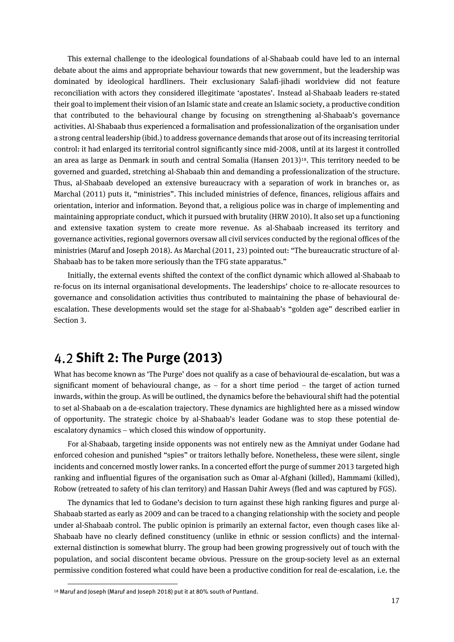This external challenge to the ideological foundations of al-Shabaab could have led to an internal debate about the aims and appropriate behaviour towards that new government, but the leadership was dominated by ideological hardliners. Their exclusionary Salafi-jihadi worldview did not feature reconciliation with actors they considered illegitimate 'apostates'. Instead al-Shabaab leaders re-stated their goal to implement their vision of an Islamic state and create an Islamic society, a productive condition that contributed to the behavioural change by focusing on strengthening al-Shabaab's governance activities. Al-Shabaab thus experienced a formalisation and professionalization of the organisation under a strong central leadership (ibid.) to address governance demands that arose out of its increasing territorial control: it had enlarged its territorial control significantly since mid-2008, until at its largest it controlled an area as large as Denmark in south and central Somalia (Hansen 2013)18. This territory needed to be governed and guarded, stretching al-Shabaab thin and demanding a professionalization of the structure. Thus, al-Shabaab developed an extensive bureaucracy with a separation of work in branches or, as Marchal (2011) puts it, "ministries". This included ministries of defence, finances, religious affairs and orientation, interior and information. Beyond that, a religious police was in charge of implementing and maintaining appropriate conduct, which it pursued with brutality (HRW 2010). It also set up a functioning and extensive taxation system to create more revenue. As al-Shabaab increased its territory and governance activities, regional governors oversaw all civil services conducted by the regional offices of the ministries (Maruf and Joseph 2018). As Marchal (2011, 23) pointed out: "The bureaucratic structure of al-Shabaab has to be taken more seriously than the TFG state apparatus."

Initially, the external events shifted the context of the conflict dynamic which allowed al-Shabaab to re-focus on its internal organisational developments. The leaderships' choice to re-allocate resources to governance and consolidation activities thus contributed to maintaining the phase of behavioural deescalation. These developments would set the stage for al-Shabaab's "golden age" described earlier in Section 3.

### <span id="page-16-0"></span>**Shift 2: The Purge (2013)**

What has become known as 'The Purge' does not qualify as a case of behavioural de-escalation, but was a significant moment of behavioural change, as – for a short time period – the target of action turned inwards, within the group. As will be outlined, the dynamics before the behavioural shift had the potential to set al-Shabaab on a de-escalation trajectory. These dynamics are highlighted here as a missed window of opportunity. The strategic choice by al-Shabaab's leader Godane was to stop these potential deescalatory dynamics – which closed this window of opportunity.

For al-Shabaab, targeting inside opponents was not entirely new as the Amniyat under Godane had enforced cohesion and punished "spies" or traitors lethally before. Nonetheless, these were silent, single incidents and concerned mostly lower ranks. In a concerted effort the purge of summer 2013 targeted high ranking and influential figures of the organisation such as Omar al-Afghani (killed), Hammami (killed), Robow (retreated to safety of his clan territory) and Hassan Dahir Aweys (fled and was captured by FGS).

The dynamics that led to Godane's decision to turn against these high ranking figures and purge al-Shabaab started as early as 2009 and can be traced to a changing relationship with the society and people under al-Shabaab control. The public opinion is primarily an external factor, even though cases like al-Shabaab have no clearly defined constituency (unlike in ethnic or session conflicts) and the internalexternal distinction is somewhat blurry. The group had been growing progressively out of touch with the population, and social discontent became obvious. Pressure on the group-society level as an external permissive condition fostered what could have been a productive condition for real de-escalation, i.e. the

<sup>18</sup> Maruf and Joseph (Maruf and Joseph 2018) put it at 80% south of Puntland.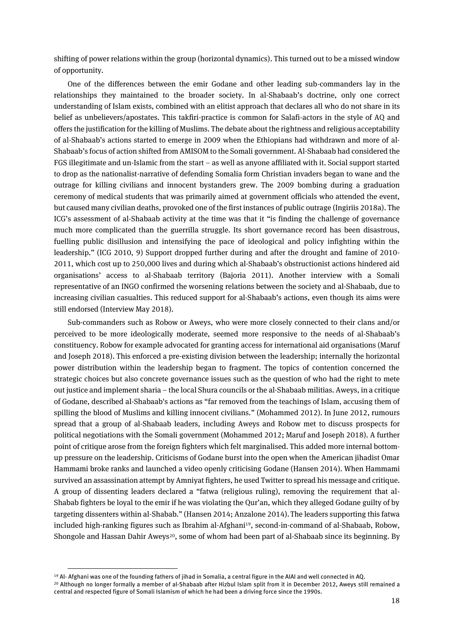shifting of power relations within the group (horizontal dynamics). This turned out to be a missed window of opportunity.

One of the differences between the emir Godane and other leading sub-commanders lay in the relationships they maintained to the broader society. In al-Shabaab's doctrine, only one correct understanding of Islam exists, combined with an elitist approach that declares all who do not share in its belief as unbelievers/apostates. This takfiri-practice is common for Salafi-actors in the style of AQ and offers the justification for the killing of Muslims. The debate about the rightness and religious acceptability of al-Shabaab's actions started to emerge in 2009 when the Ethiopians had withdrawn and more of al-Shabaab's focus of action shifted from AMISOM to the Somali government. Al-Shabaab had considered the FGS illegitimate and un-Islamic from the start – as well as anyone affiliated with it. Social support started to drop as the nationalist-narrative of defending Somalia form Christian invaders began to wane and the outrage for killing civilians and innocent bystanders grew. The 2009 bombing during a graduation ceremony of medical students that was primarily aimed at government officials who attended the event, but caused many civilian deaths, provoked one of the first instances of public outrage (Ingiriis 2018a). The ICG's assessment of al-Shabaab activity at the time was that it "is finding the challenge of governance much more complicated than the guerrilla struggle. Its short governance record has been disastrous, fuelling public disillusion and intensifying the pace of ideological and policy infighting within the leadership." (ICG 2010, 9) Support dropped further during and after the drought and famine of 2010- 2011, which cost up to 250,000 lives and during which al-Shabaab's obstructionist actions hindered aid organisations' access to al-Shabaab territory (Bajoria 2011). Another interview with a Somali representative of an INGO confirmed the worsening relations between the society and al-Shabaab, due to increasing civilian casualties. This reduced support for al-Shabaab's actions, even though its aims were still endorsed (Interview May 2018).

Sub-commanders such as Robow or Aweys, who were more closely connected to their clans and/or perceived to be more ideologically moderate, seemed more responsive to the needs of al-Shabaab's constituency. Robow for example advocated for granting access for international aid organisations (Maruf and Joseph 2018). This enforced a pre-existing division between the leadership; internally the horizontal power distribution within the leadership began to fragment. The topics of contention concerned the strategic choices but also concrete governance issues such as the question of who had the right to mete out justice and implement sharia – the local Shura councils or the al-Shabaab militias. Aweys, in a critique of Godane, described al-Shabaab's actions as "far removed from the teachings of Islam, accusing them of spilling the blood of Muslims and killing innocent civilians." (Mohammed 2012). In June 2012, rumours spread that a group of al-Shabaab leaders, including Aweys and Robow met to discuss prospects for political negotiations with the Somali government (Mohammed 2012; Maruf and Joseph 2018). A further point of critique arose from the foreign fighters which felt marginalised. This added more internal bottomup pressure on the leadership. Criticisms of Godane burst into the open when the American jihadist Omar Hammami broke ranks and launched a video openly criticising Godane (Hansen 2014). When Hammami survived an assassination attempt by Amniyat fighters, he used Twitter to spread his message and critique. A group of dissenting leaders declared a "fatwa (religious ruling), removing the requirement that al-Shabab fighters be loyal to the emir if he was violating the Qur'an, which they alleged Godane guilty of by targeting dissenters within al-Shabab." (Hansen 2014; Anzalone 2014).The leaders supporting this fatwa included high-ranking figures such as Ibrahim al-Afghani19, second-in-command of al-Shabaab, Robow, Shongole and Hassan Dahir Aweys<sup>20</sup>, some of whom had been part of al-Shabaab since its beginning. By

<sup>19</sup> Al- Afghani was one of the founding fathers of jihad in Somalia, a central figure in the AIAI and well connected in AQ. <sup>20</sup> Although no longer formally a member of al-Shabaab after Hizbul Islam split from it in December 2012, Aweys still remained a central and respected figure of Somali Islamism of which he had been a driving force since the 1990s.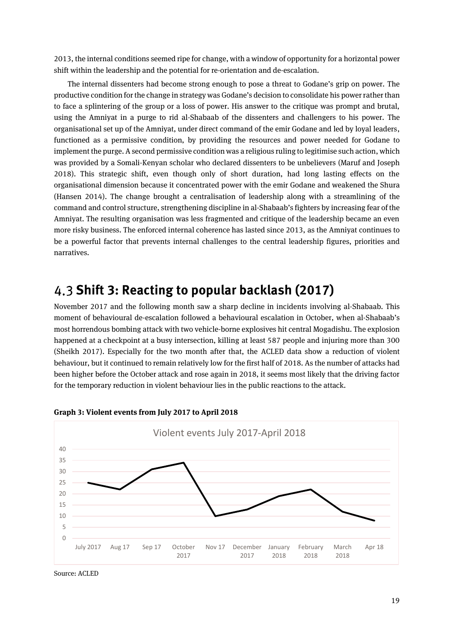2013, the internal conditions seemed ripe for change, with a window of opportunity for a horizontal power shift within the leadership and the potential for re-orientation and de-escalation.

The internal dissenters had become strong enough to pose a threat to Godane's grip on power. The productive condition for the change in strategy was Godane's decision to consolidate his power rather than to face a splintering of the group or a loss of power. His answer to the critique was prompt and brutal, using the Amniyat in a purge to rid al-Shabaab of the dissenters and challengers to his power. The organisational set up of the Amniyat, under direct command of the emir Godane and led by loyal leaders, functioned as a permissive condition, by providing the resources and power needed for Godane to implement the purge. A second permissive condition was a religious ruling to legitimise such action, which was provided by a Somali-Kenyan scholar who declared dissenters to be unbelievers (Maruf and Joseph 2018). This strategic shift, even though only of short duration, had long lasting effects on the organisational dimension because it concentrated power with the emir Godane and weakened the Shura (Hansen 2014). The change brought a centralisation of leadership along with a streamlining of the command and control structure, strengthening discipline in al-Shabaab's fighters by increasing fear of the Amniyat. The resulting organisation was less fragmented and critique of the leadership became an even more risky business. The enforced internal coherence has lasted since 2013, as the Amniyat continues to be a powerful factor that prevents internal challenges to the central leadership figures, priorities and narratives.

### <span id="page-18-0"></span>**Shift 3: Reacting to popular backlash (2017)**

November 2017 and the following month saw a sharp decline in incidents involving al-Shabaab. This moment of behavioural de-escalation followed a behavioural escalation in October, when al-Shabaab's most horrendous bombing attack with two vehicle-borne explosives hit central Mogadishu. The explosion happened at a checkpoint at a busy intersection, killing at least 587 people and injuring more than 300 (Sheikh 2017). Especially for the two month after that, the ACLED data show a reduction of violent behaviour, but it continued to remain relatively low for the first half of 2018. As the number of attacks had been higher before the October attack and rose again in 2018, it seems most likely that the driving factor for the temporary reduction in violent behaviour lies in the public reactions to the attack.



**Graph 3: Violent events from July 2017 to April 2018**

Source: ACLED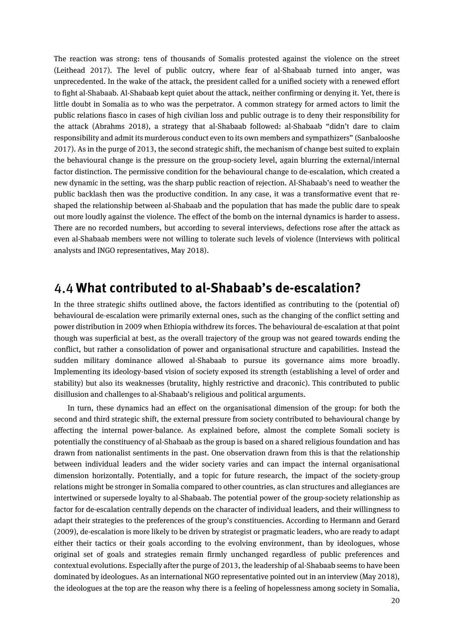The reaction was strong: tens of thousands of Somalis protested against the violence on the street (Leithead 2017). The level of public outcry, where fear of al-Shabaab turned into anger, was unprecedented. In the wake of the attack, the president called for a unified society with a renewed effort to fight al-Shabaab. Al-Shabaab kept quiet about the attack, neither confirming or denying it. Yet, there is little doubt in Somalia as to who was the perpetrator. A common strategy for armed actors to limit the public relations fiasco in cases of high civilian loss and public outrage is to deny their responsibility for the attack (Abrahms 2018), a strategy that al-Shabaab followed: al-Shabaab "didn't dare to claim responsibility and admit its murderous conduct even to its own members and sympathizers" (Sanbalooshe 2017). As in the purge of 2013, the second strategic shift, the mechanism of change best suited to explain the behavioural change is the pressure on the group-society level, again blurring the external/internal factor distinction. The permissive condition for the behavioural change to de-escalation, which created a new dynamic in the setting, was the sharp public reaction of rejection. Al-Shabaab's need to weather the public backlash then was the productive condition. In any case, it was a transformative event that reshaped the relationship between al-Shabaab and the population that has made the public dare to speak out more loudly against the violence. The effect of the bomb on the internal dynamics is harder to assess. There are no recorded numbers, but according to several interviews, defections rose after the attack as even al-Shabaab members were not willing to tolerate such levels of violence (Interviews with political analysts and INGO representatives, May 2018).

### <span id="page-19-0"></span>**What contributed to al-Shabaab's de-escalation?**

In the three strategic shifts outlined above, the factors identified as contributing to the (potential of) behavioural de-escalation were primarily external ones, such as the changing of the conflict setting and power distribution in 2009 when Ethiopia withdrew its forces. The behavioural de-escalation at that point though was superficial at best, as the overall trajectory of the group was not geared towards ending the conflict, but rather a consolidation of power and organisational structure and capabilities. Instead the sudden military dominance allowed al-Shabaab to pursue its governance aims more broadly. Implementing its ideology-based vision of society exposed its strength (establishing a level of order and stability) but also its weaknesses (brutality, highly restrictive and draconic). This contributed to public disillusion and challenges to al-Shabaab's religious and political arguments.

In turn, these dynamics had an effect on the organisational dimension of the group: for both the second and third strategic shift, the external pressure from society contributed to behavioural change by affecting the internal power-balance. As explained before, almost the complete Somali society is potentially the constituency of al-Shabaab as the group is based on a shared religious foundation and has drawn from nationalist sentiments in the past. One observation drawn from this is that the relationship between individual leaders and the wider society varies and can impact the internal organisational dimension horizontally. Potentially, and a topic for future research, the impact of the society-group relations might be stronger in Somalia compared to other countries, as clan structures and allegiances are intertwined or supersede loyalty to al-Shabaab. The potential power of the group-society relationship as factor for de-escalation centrally depends on the character of individual leaders, and their willingness to adapt their strategies to the preferences of the group's constituencies. According to Hermann and Gerard (2009), de-escalation is more likely to be driven by strategist or pragmatic leaders, who are ready to adapt either their tactics or their goals according to the evolving environment, than by ideologues, whose original set of goals and strategies remain firmly unchanged regardless of public preferences and contextual evolutions. Especially after the purge of 2013, the leadership of al-Shabaab seems to have been dominated by ideologues. As an international NGO representative pointed out in an interview (May 2018), the ideologues at the top are the reason why there is a feeling of hopelessness among society in Somalia,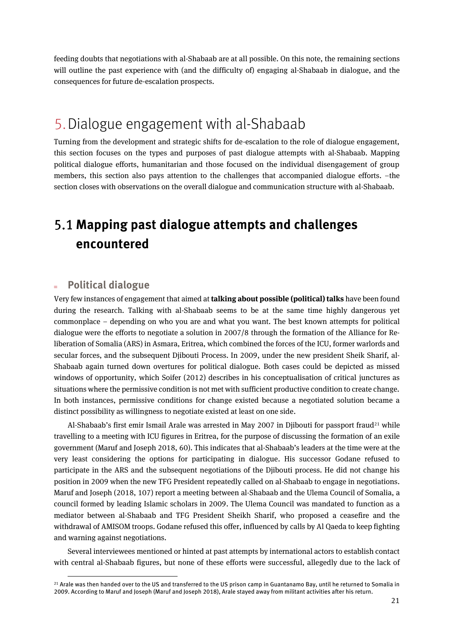feeding doubts that negotiations with al-Shabaab are at all possible. On this note, the remaining sections will outline the past experience with (and the difficulty of) engaging al-Shabaab in dialogue, and the consequences for future de-escalation prospects.

# <span id="page-20-0"></span>5.Dialogue engagement with al-Shabaab

Turning from the development and strategic shifts for de-escalation to the role of dialogue engagement, this section focuses on the types and purposes of past dialogue attempts with al-Shabaab. Mapping political dialogue efforts, humanitarian and those focused on the individual disengagement of group members, this section also pays attention to the challenges that accompanied dialogue efforts. –the section closes with observations on the overall dialogue and communication structure with al-Shabaab.

# <span id="page-20-1"></span>**Mapping past dialogue attempts and challenges encountered**

### **Political dialogue**

 $\overline{a}$ 

Very few instances of engagement that aimed at **talking about possible (political) talks** have been found during the research. Talking with al-Shabaab seems to be at the same time highly dangerous yet commonplace – depending on who you are and what you want. The best known attempts for political dialogue were the efforts to negotiate a solution in 2007/8 through the formation of the Alliance for Reliberation of Somalia (ARS) in Asmara, Eritrea, which combined the forces of the ICU, former warlords and secular forces, and the subsequent Djibouti Process. In 2009, under the new president Sheik Sharif, al-Shabaab again turned down overtures for political dialogue. Both cases could be depicted as missed windows of opportunity, which Soifer (2012) describes in his conceptualisation of critical junctures as situations where the permissive condition is not met with sufficient productive condition to create change. In both instances, permissive conditions for change existed because a negotiated solution became a distinct possibility as willingness to negotiate existed at least on one side.

Al-Shabaab's first emir Ismail Arale was arrested in May 2007 in Diibouti for passport fraud<sup>21</sup> while travelling to a meeting with ICU figures in Eritrea, for the purpose of discussing the formation of an exile government (Maruf and Joseph 2018, 60). This indicates that al-Shabaab's leaders at the time were at the very least considering the options for participating in dialogue. His successor Godane refused to participate in the ARS and the subsequent negotiations of the Djibouti process. He did not change his position in 2009 when the new TFG President repeatedly called on al-Shabaab to engage in negotiations. Maruf and Joseph (2018, 107) report a meeting between al-Shabaab and the Ulema Council of Somalia, a council formed by leading Islamic scholars in 2009. The Ulema Council was mandated to function as a mediator between al-Shabaab and TFG President Sheikh Sharif, who proposed a ceasefire and the withdrawal of AMISOM troops. Godane refused this offer, influenced by calls by Al Qaeda to keep fighting and warning against negotiations.

Several interviewees mentioned or hinted at past attempts by international actors to establish contact with central al-Shabaab figures, but none of these efforts were successful, allegedly due to the lack of

<sup>21</sup> Arale was then handed over to the US and transferred to the US prison camp in Guantanamo Bay, until he returned to Somalia in 2009. According to Maruf and Joseph (Maruf and Joseph 2018), Arale stayed away from militant activities after his return.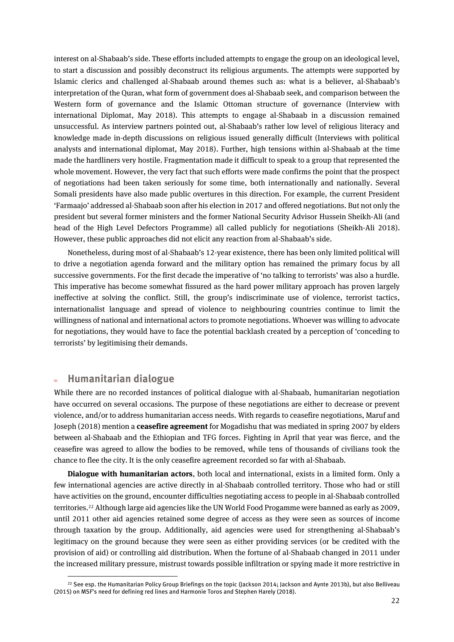interest on al-Shabaab's side. These efforts included attempts to engage the group on an ideological level, to start a discussion and possibly deconstruct its religious arguments. The attempts were supported by Islamic clerics and challenged al-Shabaab around themes such as: what is a believer, al-Shabaab's interpretation of the Quran, what form of government does al-Shabaab seek, and comparison between the Western form of governance and the Islamic Ottoman structure of governance (Interview with international Diplomat, May 2018). This attempts to engage al-Shabaab in a discussion remained unsuccessful. As interview partners pointed out, al-Shabaab's rather low level of religious literacy and knowledge made in-depth discussions on religious issued generally difficult (Interviews with political analysts and international diplomat, May 2018). Further, high tensions within al-Shabaab at the time made the hardliners very hostile. Fragmentation made it difficult to speak to a group that represented the whole movement. However, the very fact that such efforts were made confirms the point that the prospect of negotiations had been taken seriously for some time, both internationally and nationally. Several Somali presidents have also made public overtures in this direction. For example, the current President 'Farmaajo' addressed al-Shabaab soon after his election in 2017 and offered negotiations. But not only the president but several former ministers and the former National Security Advisor Hussein Sheikh-Ali (and head of the High Level Defectors Programme) all called publicly for negotiations (Sheikh-Ali 2018). However, these public approaches did not elicit any reaction from al-Shabaab's side.

Nonetheless, during most of al-Shabaab's 12-year existence, there has been only limited political will to drive a negotiation agenda forward and the military option has remained the primary focus by all successive governments. For the first decade the imperative of 'no talking to terrorists' was also a hurdle. This imperative has become somewhat fissured as the hard power military approach has proven largely ineffective at solving the conflict. Still, the group's indiscriminate use of violence, terrorist tactics, internationalist language and spread of violence to neighbouring countries continue to limit the willingness of national and international actors to promote negotiations. Whoever was willing to advocate for negotiations, they would have to face the potential backlash created by a perception of 'conceding to terrorists' by legitimising their demands.

#### **Humanitarian dialogue**

 $\overline{a}$ 

While there are no recorded instances of political dialogue with al-Shabaab, humanitarian negotiation have occurred on several occasions. The purpose of these negotiations are either to decrease or prevent violence, and/or to address humanitarian access needs. With regards to ceasefire negotiations, Maruf and Joseph (2018) mention a **ceasefire agreement** for Mogadishu that was mediated in spring 2007 by elders between al-Shabaab and the Ethiopian and TFG forces. Fighting in April that year was fierce, and the ceasefire was agreed to allow the bodies to be removed, while tens of thousands of civilians took the chance to flee the city. It is the only ceasefire agreement recorded so far with al-Shabaab.

**Dialogue with humanitarian actors**, both local and international, exists in a limited form. Only a few international agencies are active directly in al-Shabaab controlled territory. Those who had or still have activities on the ground, encounter difficulties negotiating access to people in al-Shabaab controlled territories.<sup>22</sup> Although large aid agencies like the UN World Food Progamme were banned as early as 2009, until 2011 other aid agencies retained some degree of access as they were seen as sources of income through taxation by the group. Additionally, aid agencies were used for strengthening al-Shabaab's legitimacy on the ground because they were seen as either providing services (or be credited with the provision of aid) or controlling aid distribution. When the fortune of al-Shabaab changed in 2011 under the increased military pressure, mistrust towards possible infiltration or spying made it more restrictive in

<sup>&</sup>lt;sup>22</sup> See esp. the Humanitarian Policy Group Briefings on the topic (Jackson 2014; Jackson and Aynte 2013b), but also Belliveau (2015) on MSF's need for defining red lines and Harmonie Toros and Stephen Harely (2018).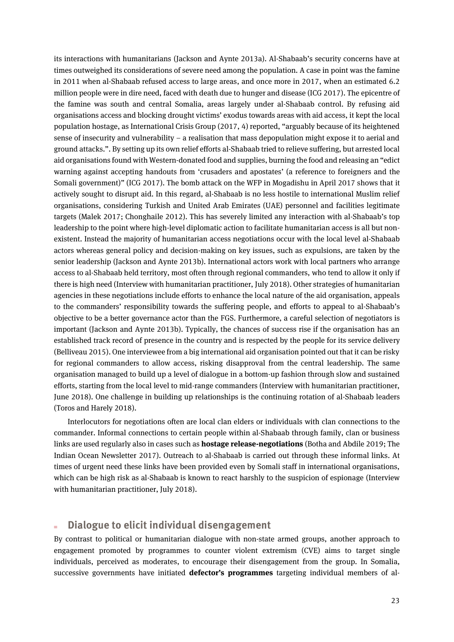its interactions with humanitarians (Jackson and Aynte 2013a). Al-Shabaab's security concerns have at times outweighed its considerations of severe need among the population. A case in point was the famine in 2011 when al-Shabaab refused access to large areas, and once more in 2017, when an estimated 6.2 million people were in dire need, faced with death due to hunger and disease (ICG 2017). The epicentre of the famine was south and central Somalia, areas largely under al-Shabaab control. By refusing aid organisations access and blocking drought victims' exodus towards areas with aid access, it kept the local population hostage, as International Crisis Group (2017, 4) reported, "arguably because of its heightened sense of insecurity and vulnerability – a realisation that mass depopulation might expose it to aerial and ground attacks.". By setting up its own relief efforts al-Shabaab tried to relieve suffering, but arrested local aid organisations found with Western-donated food and supplies, burning the food and releasing an "edict warning against accepting handouts from 'crusaders and apostates' (a reference to foreigners and the Somali government)" (ICG 2017). The bomb attack on the WFP in Mogadishu in April 2017 shows that it actively sought to disrupt aid. In this regard, al-Shabaab is no less hostile to international Muslim relief organisations, considering Turkish and United Arab Emirates (UAE) personnel and facilities legitimate targets (Malek 2017; Chonghaile 2012). This has severely limited any interaction with al-Shabaab's top leadership to the point where high-level diplomatic action to facilitate humanitarian access is all but nonexistent. Instead the majority of humanitarian access negotiations occur with the local level al-Shabaab actors whereas general policy and decision-making on key issues, such as expulsions, are taken by the senior leadership (Jackson and Aynte 2013b). International actors work with local partners who arrange access to al-Shabaab held territory, most often through regional commanders, who tend to allow it only if there is high need (Interview with humanitarian practitioner, July 2018). Other strategies of humanitarian agencies in these negotiations include efforts to enhance the local nature of the aid organisation, appeals to the commanders' responsibility towards the suffering people, and efforts to appeal to al-Shabaab's objective to be a better governance actor than the FGS. Furthermore, a careful selection of negotiators is important (Jackson and Aynte 2013b). Typically, the chances of success rise if the organisation has an established track record of presence in the country and is respected by the people for its service delivery (Belliveau 2015). One interviewee from a big international aid organisation pointed out that it can be risky for regional commanders to allow access, risking disapproval from the central leadership. The same organisation managed to build up a level of dialogue in a bottom-up fashion through slow and sustained efforts, starting from the local level to mid-range commanders (Interview with humanitarian practitioner, June 2018). One challenge in building up relationships is the continuing rotation of al-Shabaab leaders (Toros and Harely 2018).

Interlocutors for negotiations often are local clan elders or individuals with clan connections to the commander. Informal connections to certain people within al-Shabaab through family, clan or business links are used regularly also in cases such as **hostage release-negotiations** (Botha and Abdile 2019; The Indian Ocean Newsletter 2017). Outreach to al-Shabaab is carried out through these informal links. At times of urgent need these links have been provided even by Somali staff in international organisations, which can be high risk as al-Shabaab is known to react harshly to the suspicion of espionage (Interview with humanitarian practitioner, July 2018).

#### **Dialogue to elicit individual disengagement**

By contrast to political or humanitarian dialogue with non-state armed groups, another approach to engagement promoted by programmes to counter violent extremism (CVE) aims to target single individuals, perceived as moderates, to encourage their disengagement from the group. In Somalia, successive governments have initiated **defector's programmes** targeting individual members of al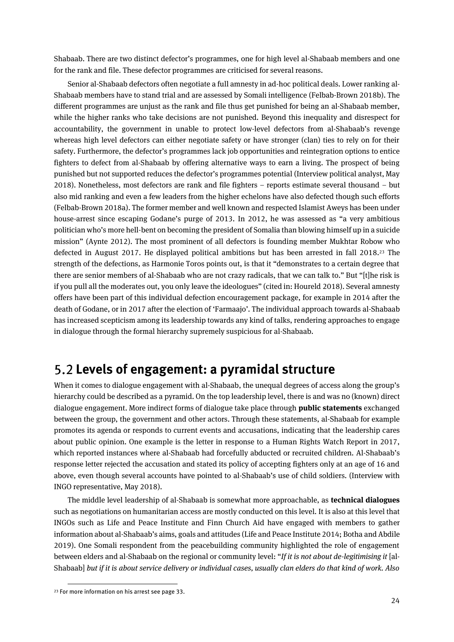Shabaab. There are two distinct defector's programmes, one for high level al-Shabaab members and one for the rank and file. These defector programmes are criticised for several reasons.

Senior al-Shabaab defectors often negotiate a full amnesty in ad-hoc political deals. Lower ranking al-Shabaab members have to stand trial and are assessed by Somali intelligence (Felbab-Brown 2018b). The different programmes are unjust as the rank and file thus get punished for being an al-Shabaab member, while the higher ranks who take decisions are not punished. Beyond this inequality and disrespect for accountability, the government in unable to protect low-level defectors from al-Shabaab's revenge whereas high level defectors can either negotiate safety or have stronger (clan) ties to rely on for their safety. Furthermore, the defector's programmes lack job opportunities and reintegration options to entice fighters to defect from al-Shabaab by offering alternative ways to earn a living. The prospect of being punished but not supported reduces the defector's programmes potential (Interview political analyst, May 2018). Nonetheless, most defectors are rank and file fighters – reports estimate several thousand – but also mid ranking and even a few leaders from the higher echelons have also defected though such efforts (Felbab-Brown 2018a). The former member and well known and respected Islamist Aweys has been under house-arrest since escaping Godane's purge of 2013. In 2012, he was assessed as "a very ambitious politician who's more hell-bent on becoming the president of Somalia than blowing himself up in a suicide mission" (Aynte 2012). The most prominent of all defectors is founding member Mukhtar Robow who defected in August 2017. He displayed political ambitions but has been arrested in fall 2018. <sup>23</sup> The strength of the defections, as Harmonie Toros points out, is that it "demonstrates to a certain degree that there are senior members of al-Shabaab who are not crazy radicals, that we can talk to." But "[t]he risk is if you pull all the moderates out, you only leave the ideologues" (cited in: Houreld 2018). Several amnesty offers have been part of this individual defection encouragement package, for example in 2014 after the death of Godane, or in 2017 after the election of 'Farmaajo'. The individual approach towards al-Shabaab has increased scepticism among its leadership towards any kind of talks, rendering approaches to engage in dialogue through the formal hierarchy supremely suspicious for al-Shabaab.

### <span id="page-23-0"></span>**Levels of engagement: a pyramidal structure**

When it comes to dialogue engagement with al-Shabaab, the unequal degrees of access along the group's hierarchy could be described as a pyramid. On the top leadership level, there is and was no (known) direct dialogue engagement. More indirect forms of dialogue take place through **public statements** exchanged between the group, the government and other actors. Through these statements, al-Shabaab for example promotes its agenda or responds to current events and accusations, indicating that the leadership cares about public opinion. One example is the letter in response to a Human Rights Watch Report in 2017, which reported instances where al-Shabaab had forcefully abducted or recruited children. Al-Shabaab's response letter rejected the accusation and stated its policy of accepting fighters only at an age of 16 and above, even though several accounts have pointed to al-Shabaab's use of child soldiers. (Interview with INGO representative, May 2018).

The middle level leadership of al-Shabaab is somewhat more approachable, as **technical dialogues** such as negotiations on humanitarian access are mostly conducted on this level. It is also at this level that INGOs such as Life and Peace Institute and Finn Church Aid have engaged with members to gather information about al-Shabaab's aims, goals and attitudes (Life and Peace Institute 2014; Botha and Abdile 2019). One Somali respondent from the peacebuilding community highlighted the role of engagement between elders and al-Shabaab on the regional or community level: "*If it is not about de-legitimising it* [al-Shabaab] *but if it is about service delivery or individual cases, usually clan elders do that kind of work. Also* 

<sup>23</sup> For more information on his arrest see page 33.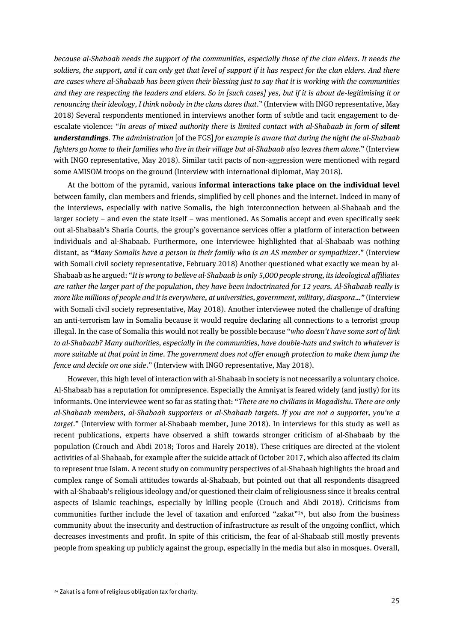*because al-Shabaab needs the support of the communities, especially those of the clan elders. It needs the soldiers, the support, and it can only get that level of support if it has respect for the clan elders. And there are cases where al-Shabaab has been given their blessing just to say that it is working with the communities and they are respecting the leaders and elders. So in [such cases] yes, but if it is about de-legitimising it or renouncing their ideology, I think nobody in the clans dares that*." (Interview with INGO representative, May 2018) Several respondents mentioned in interviews another form of subtle and tacit engagement to deescalate violence: "*In areas of mixed authority there is limited contact with al-Shabaab in form of silent understandings. The administration* [of the FGS] *for example is aware that during the night the al-Shabaab fighters go home to their families who live in their village but al-Shabaab also leaves them alone.*" (Interview with INGO representative, May 2018). Similar tacit pacts of non-aggression were mentioned with regard some AMISOM troops on the ground (Interview with international diplomat, May 2018).

At the bottom of the pyramid, various **informal interactions take place on the individual level** between family, clan members and friends, simplified by cell phones and the internet. Indeed in many of the interviews, especially with native Somalis, the high interconnection between al-Shabaab and the larger society – and even the state itself – was mentioned. As Somalis accept and even specifically seek out al-Shabaab's Sharia Courts, the group's governance services offer a platform of interaction between individuals and al-Shabaab. Furthermore, one interviewee highlighted that al-Shabaab was nothing distant, as "*Many Somalis have a person in their family who is an AS member or sympathizer*." (Interview with Somali civil society representative, February 2018) Another questioned what exactly we mean by al-Shabaab as he argued: "*It is wrong to believe al-Shabaab is only 5,000 people strong, its ideological affiliates are rather the larger part of the population, they have been indoctrinated for 12 years. Al-Shabaab really is more like millions of people and it is everywhere, at universities, government, military, diaspora…"* (Interview with Somali civil society representative, May 2018). Another interviewee noted the challenge of drafting an anti-terrorism law in Somalia because it would require declaring all connections to a terrorist group illegal. In the case of Somalia this would not really be possible because "*who doesn't have some sort of link to al-Shabaab? Many authorities, especially in the communities, have double-hats and switch to whatever is more suitable at that point in time. The government does not offer enough protection to make them jump the fence and decide on one side*." (Interview with INGO representative, May 2018).

However, this high level of interaction with al-Shabaab in society is not necessarily a voluntary choice. Al-Shabaab has a reputation for omnipresence. Especially the Amniyat is feared widely (and justly) for its informants. One interviewee went so far as stating that: "*There are no civilians in Mogadishu. There are only al-Shabaab members, al-Shabaab supporters or al-Shabaab targets. If you are not a supporter, you're a target*." (Interview with former al-Shabaab member, June 2018). In interviews for this study as well as recent publications, experts have observed a shift towards stronger criticism of al-Shabaab by the population (Crouch and Abdi 2018; Toros and Harely 2018). These critiques are directed at the violent activities of al-Shabaab, for example after the suicide attack of October 2017, which also affected its claim to represent true Islam. A recent study on community perspectives of al-Shabaab highlights the broad and complex range of Somali attitudes towards al-Shabaab, but pointed out that all respondents disagreed with al-Shabaab's religious ideology and/or questioned their claim of religiousness since it breaks central aspects of Islamic teachings, especially by killing people (Crouch and Abdi 2018). Criticisms from communities further include the level of taxation and enforced "zakat"24, but also from the business community about the insecurity and destruction of infrastructure as result of the ongoing conflict, which decreases investments and profit. In spite of this criticism, the fear of al-Shabaab still mostly prevents people from speaking up publicly against the group, especially in the media but also in mosques. Overall,

<sup>24</sup> Zakat is a form of religious obligation tax for charity.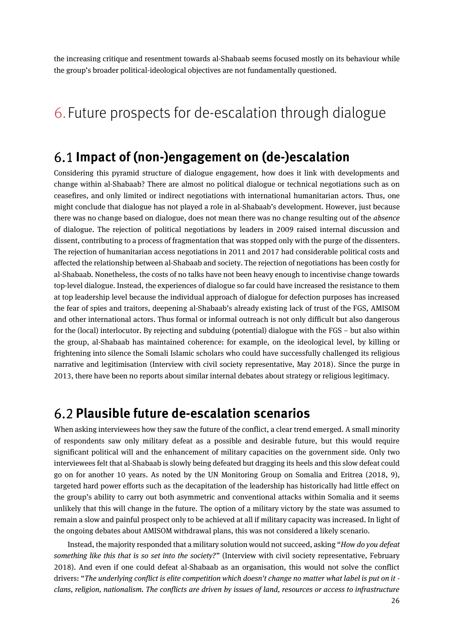<span id="page-25-0"></span>the increasing critique and resentment towards al-Shabaab seems focused mostly on its behaviour while the group's broader political-ideological objectives are not fundamentally questioned.

# <span id="page-25-1"></span>6. Future prospects for de-escalation through dialogue

### **Impact of (non-)engagement on (de-)escalation**

Considering this pyramid structure of dialogue engagement, how does it link with developments and change within al-Shabaab? There are almost no political dialogue or technical negotiations such as on ceasefires, and only limited or indirect negotiations with international humanitarian actors. Thus, one might conclude that dialogue has not played a role in al-Shabaab's development. However, just because there was no change based on dialogue, does not mean there was no change resulting out of the *absence* of dialogue. The rejection of political negotiations by leaders in 2009 raised internal discussion and dissent, contributing to a process of fragmentation that was stopped only with the purge of the dissenters. The rejection of humanitarian access negotiations in 2011 and 2017 had considerable political costs and affected the relationship between al-Shabaab and society. The rejection of negotiations has been costly for al-Shabaab. Nonetheless, the costs of no talks have not been heavy enough to incentivise change towards top-level dialogue. Instead, the experiences of dialogue so far could have increased the resistance to them at top leadership level because the individual approach of dialogue for defection purposes has increased the fear of spies and traitors, deepening al-Shabaab's already existing lack of trust of the FGS, AMISOM and other international actors. Thus formal or informal outreach is not only difficult but also dangerous for the (local) interlocutor. By rejecting and subduing (potential) dialogue with the FGS – but also within the group, al-Shabaab has maintained coherence: for example, on the ideological level, by killing or frightening into silence the Somali Islamic scholars who could have successfully challenged its religious narrative and legitimisation (Interview with civil society representative, May 2018). Since the purge in 2013, there have been no reports about similar internal debates about strategy or religious legitimacy.

### <span id="page-25-2"></span>**Plausible future de-escalation scenarios**

When asking interviewees how they saw the future of the conflict, a clear trend emerged. A small minority of respondents saw only military defeat as a possible and desirable future, but this would require significant political will and the enhancement of military capacities on the government side. Only two interviewees felt that al-Shabaab is slowly being defeated but dragging its heels and this slow defeat could go on for another 10 years. As noted by the UN Monitoring Group on Somalia and Eritrea (2018, 9), targeted hard power efforts such as the decapitation of the leadership has historically had little effect on the group's ability to carry out both asymmetric and conventional attacks within Somalia and it seems unlikely that this will change in the future. The option of a military victory by the state was assumed to remain a slow and painful prospect only to be achieved at all if military capacity was increased. In light of the ongoing debates about AMISOM withdrawal plans, this was not considered a likely scenario.

Instead, the majority responded that a military solution would not succeed, asking "*How do you defeat something like this that is so set into the society?*" (Interview with civil society representative, February 2018). And even if one could defeat al-Shabaab as an organisation, this would not solve the conflict drivers: "*The underlying conflict is elite competition which doesn't change no matter what label is put on it clans, religion, nationalism. The conflicts are driven by issues of land, resources or access to infrastructure*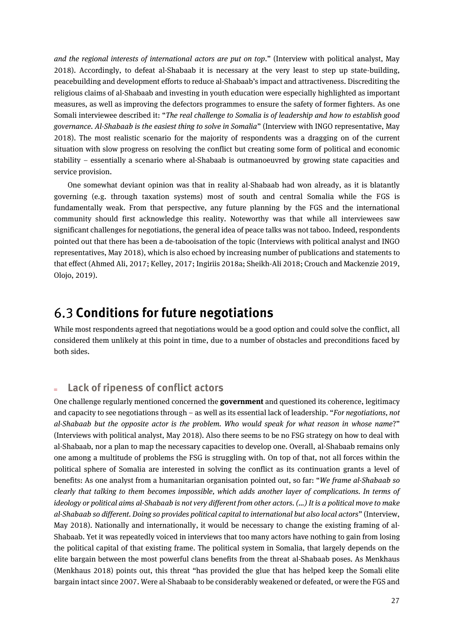*and the regional interests of international actors are put on top*." (Interview with political analyst, May 2018). Accordingly, to defeat al-Shabaab it is necessary at the very least to step up state-building, peacebuilding and development efforts to reduce al-Shabaab's impact and attractiveness. Discrediting the religious claims of al-Shabaab and investing in youth education were especially highlighted as important measures, as well as improving the defectors programmes to ensure the safety of former fighters. As one Somali interviewee described it: "*The real challenge to Somalia is of leadership and how to establish good governance. Al-Shabaab is the easiest thing to solve in Somalia*" (Interview with INGO representative, May 2018). The most realistic scenario for the majority of respondents was a dragging on of the current situation with slow progress on resolving the conflict but creating some form of political and economic stability – essentially a scenario where al-Shabaab is outmanoeuvred by growing state capacities and service provision.

One somewhat deviant opinion was that in reality al-Shabaab had won already, as it is blatantly governing (e.g. through taxation systems) most of south and central Somalia while the FGS is fundamentally weak. From that perspective, any future planning by the FGS and the international community should first acknowledge this reality. Noteworthy was that while all interviewees saw significant challenges for negotiations, the general idea of peace talks was not taboo. Indeed, respondents pointed out that there has been a de-tabooisation of the topic (Interviews with political analyst and INGO representatives, May 2018), which is also echoed by increasing number of publications and statements to that effect (Ahmed Ali, 2017; Kelley, 2017; Ingiriis 2018a; Sheikh-Ali 2018; Crouch and Mackenzie 2019, Olojo, 2019).

### <span id="page-26-0"></span>**Conditions for future negotiations**

While most respondents agreed that negotiations would be a good option and could solve the conflict, all considered them unlikely at this point in time, due to a number of obstacles and preconditions faced by both sides.

### **Lack of ripeness of conflict actors**

One challenge regularly mentioned concerned the **government** and questioned its coherence, legitimacy and capacity to see negotiations through – as well as its essential lack of leadership. "*For negotiations, not al-Shabaab but the opposite actor is the problem. Who would speak for what reason in whose name*?" (Interviews with political analyst, May 2018). Also there seems to be no FSG strategy on how to deal with al-Shabaab, nor a plan to map the necessary capacities to develop one. Overall, al-Shabaab remains only one among a multitude of problems the FSG is struggling with. On top of that, not all forces within the political sphere of Somalia are interested in solving the conflict as its continuation grants a level of benefits: As one analyst from a humanitarian organisation pointed out, so far: "*We frame al-Shabaab so clearly that talking to them becomes impossible, which adds another layer of complications. In terms of ideology or political aims al-Shabaab is not very different from other actors. (…) It is a political move to make al-Shabaab so different. Doing so provides political capital to international but also local actors*" (Interview, May 2018). Nationally and internationally, it would be necessary to change the existing framing of al-Shabaab. Yet it was repeatedly voiced in interviews that too many actors have nothing to gain from losing the political capital of that existing frame. The political system in Somalia, that largely depends on the elite bargain between the most powerful clans benefits from the threat al-Shabaab poses. As Menkhaus (Menkhaus 2018) points out, this threat "has provided the glue that has helped keep the Somali elite bargain intact since 2007. Were al-Shabaab to be considerably weakened or defeated, or were the FGS and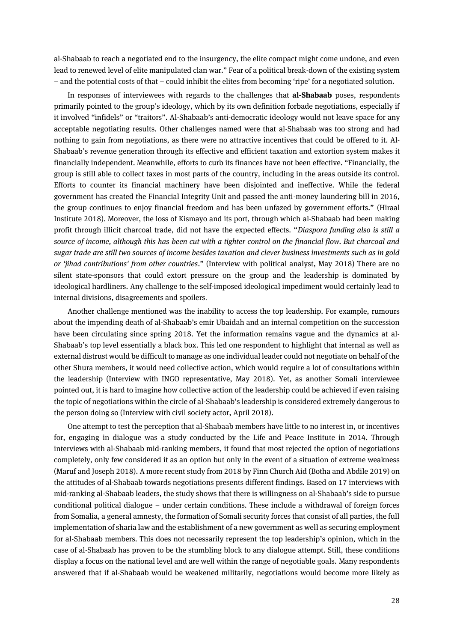al-Shabaab to reach a negotiated end to the insurgency, the elite compact might come undone, and even lead to renewed level of elite manipulated clan war." Fear of a political break-down of the existing system – and the potential costs of that – could inhibit the elites from becoming 'ripe' for a negotiated solution.

In responses of interviewees with regards to the challenges that **al-Shabaab** poses, respondents primarily pointed to the group's ideology, which by its own definition forbade negotiations, especially if it involved "infidels" or "traitors". Al-Shabaab's anti-democratic ideology would not leave space for any acceptable negotiating results. Other challenges named were that al-Shabaab was too strong and had nothing to gain from negotiations, as there were no attractive incentives that could be offered to it. Al-Shabaab's revenue generation through its effective and efficient taxation and extortion system makes it financially independent. Meanwhile, efforts to curb its finances have not been effective. "Financially, the group is still able to collect taxes in most parts of the country, including in the areas outside its control. Efforts to counter its financial machinery have been disjointed and ineffective. While the federal government has created the Financial Integrity Unit and passed the anti-money laundering bill in 2016, the group continues to enjoy financial freedom and has been unfazed by government efforts." (Hiraal Institute 2018). Moreover, the loss of Kismayo and its port, through which al-Shabaab had been making profit through illicit charcoal trade, did not have the expected effects. "*Diaspora funding also is still a source of income, although this has been cut with a tighter control on the financial flow. But charcoal and sugar trade are still two sources of income besides taxation and clever business investments such as in gold or 'jihad contributions' from other countries*." (Interview with political analyst, May 2018) There are no silent state-sponsors that could extort pressure on the group and the leadership is dominated by ideological hardliners. Any challenge to the self-imposed ideological impediment would certainly lead to internal divisions, disagreements and spoilers.

Another challenge mentioned was the inability to access the top leadership. For example, rumours about the impending death of al-Shabaab's emir Ubaidah and an internal competition on the succession have been circulating since spring 2018. Yet the information remains vague and the dynamics at al-Shabaab's top level essentially a black box. This led one respondent to highlight that internal as well as external distrust would be difficult to manage as one individual leader could not negotiate on behalf of the other Shura members, it would need collective action, which would require a lot of consultations within the leadership (Interview with INGO representative, May 2018). Yet, as another Somali interviewee pointed out, it is hard to imagine how collective action of the leadership could be achieved if even raising the topic of negotiations within the circle of al-Shabaab's leadership is considered extremely dangerous to the person doing so (Interview with civil society actor, April 2018).

One attempt to test the perception that al-Shabaab members have little to no interest in, or incentives for, engaging in dialogue was a study conducted by the Life and Peace Institute in 2014. Through interviews with al-Shabaab mid-ranking members, it found that most rejected the option of negotiations completely, only few considered it as an option but only in the event of a situation of extreme weakness (Maruf and Joseph 2018). A more recent study from 2018 by Finn Church Aid (Botha and Abdile 2019) on the attitudes of al-Shabaab towards negotiations presents different findings. Based on 17 interviews with mid-ranking al-Shabaab leaders, the study shows that there is willingness on al-Shabaab's side to pursue conditional political dialogue – under certain conditions. These include a withdrawal of foreign forces from Somalia, a general amnesty, the formation of Somali security forces that consist of all parties, the full implementation of sharia law and the establishment of a new government as well as securing employment for al-Shabaab members. This does not necessarily represent the top leadership's opinion, which in the case of al-Shabaab has proven to be the stumbling block to any dialogue attempt. Still, these conditions display a focus on the national level and are well within the range of negotiable goals. Many respondents answered that if al-Shabaab would be weakened militarily, negotiations would become more likely as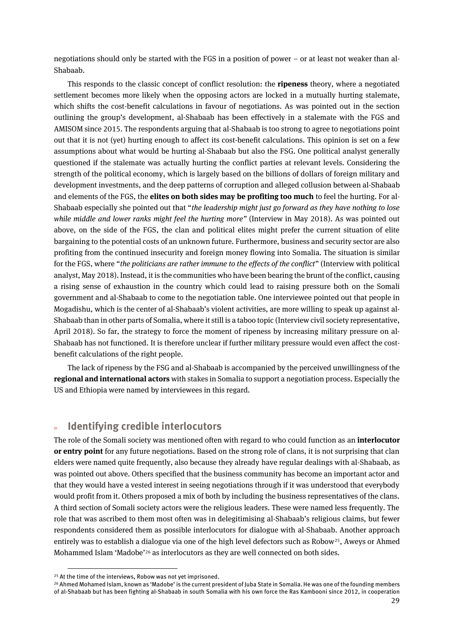negotiations should only be started with the FGS in a position of power – or at least not weaker than al-Shabaab.

This responds to the classic concept of conflict resolution: the **ripeness** theory, where a negotiated settlement becomes more likely when the opposing actors are locked in a mutually hurting stalemate, which shifts the cost-benefit calculations in favour of negotiations. As was pointed out in the section outlining the group's development, al-Shabaab has been effectively in a stalemate with the FGS and AMISOM since 2015. The respondents arguing that al-Shabaab is too strong to agree to negotiations point out that it is not (yet) hurting enough to affect its cost-benefit calculations. This opinion is set on a few assumptions about what would be hurting al-Shabaab but also the FSG. One political analyst generally questioned if the stalemate was actually hurting the conflict parties at relevant levels. Considering the strength of the political economy, which is largely based on the billions of dollars of foreign military and development investments, and the deep patterns of corruption and alleged collusion between al-Shabaab and elements of the FGS, the **elites on both sides may be profiting too much** to feel the hurting. For al-Shabaab especially she pointed out that "*the leadership might just go forward as they have nothing to lose while middle and lower ranks might feel the hurting more"* (Interview in May 2018). As was pointed out above, on the side of the FGS, the clan and political elites might prefer the current situation of elite bargaining to the potential costs of an unknown future. Furthermore, business and security sector are also profiting from the continued insecurity and foreign money flowing into Somalia. The situation is similar for the FGS, where "*the politicians are rather immune to the effects of the conflict*" (Interview with political analyst, May 2018). Instead, it is the communities who have been bearing the brunt of the conflict, causing a rising sense of exhaustion in the country which could lead to raising pressure both on the Somali government and al-Shabaab to come to the negotiation table. One interviewee pointed out that people in Mogadishu, which is the center of al-Shabaab's violent activities, are more willing to speak up against al-Shabaab than in other parts of Somalia, where it still is a taboo topic (Interview civil society representative, April 2018). So far, the strategy to force the moment of ripeness by increasing military pressure on al-Shabaab has not functioned. It is therefore unclear if further military pressure would even affect the costbenefit calculations of the right people.

The lack of ripeness by the FSG and al-Shabaab is accompanied by the perceived unwillingness of the **regional and international actors**with stakes in Somalia to support a negotiation process. Especially the US and Ethiopia were named by interviewees in this regard.

#### **Identifying credible interlocutors**

The role of the Somali society was mentioned often with regard to who could function as an **interlocutor or entry point** for any future negotiations. Based on the strong role of clans, it is not surprising that clan elders were named quite frequently, also because they already have regular dealings with al-Shabaab, as was pointed out above. Others specified that the business community has become an important actor and that they would have a vested interest in seeing negotiations through if it was understood that everybody would profit from it. Others proposed a mix of both by including the business representatives of the clans. A third section of Somali society actors were the religious leaders. These were named less frequently. The role that was ascribed to them most often was in delegitimising al-Shabaab's religious claims, but fewer respondents considered them as possible interlocutors for dialogue with al-Shabaab. Another approach entirely was to establish a dialogue via one of the high level defectors such as Robow25, Aweys or Ahmed Mohammed Islam 'Madobe'<sup>26</sup> as interlocutors as they are well connected on both sides.

<sup>&</sup>lt;sup>25</sup> At the time of the interviews, Robow was not yet imprisoned.

<sup>26</sup> Ahmed Mohamed Islam, known as 'Madobe' is the current president of Juba State in Somalia. He was one of the founding members of al-Shabaab but has been fighting al-Shabaab in south Somalia with his own force the Ras Kambooni since 2012, in cooperation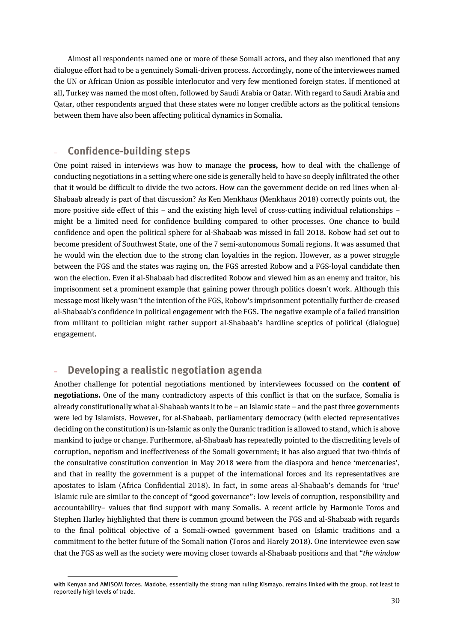Almost all respondents named one or more of these Somali actors, and they also mentioned that any dialogue effort had to be a genuinely Somali-driven process. Accordingly, none of the interviewees named the UN or African Union as possible interlocutor and very few mentioned foreign states. If mentioned at all, Turkey was named the most often, followed by Saudi Arabia or Qatar. With regard to Saudi Arabia and Qatar, other respondents argued that these states were no longer credible actors as the political tensions between them have also been affecting political dynamics in Somalia.

#### **Confidence-building steps**

One point raised in interviews was how to manage the **process,** how to deal with the challenge of conducting negotiations in a setting where one side is generally held to have so deeply infiltrated the other that it would be difficult to divide the two actors. How can the government decide on red lines when al-Shabaab already is part of that discussion? As Ken Menkhaus (Menkhaus 2018) correctly points out, the more positive side effect of this – and the existing high level of cross-cutting individual relationships – might be a limited need for confidence building compared to other processes. One chance to build confidence and open the political sphere for al-Shabaab was missed in fall 2018. Robow had set out to become president of Southwest State, one of the 7 semi-autonomous Somali regions. It was assumed that he would win the election due to the strong clan loyalties in the region. However, as a power struggle between the FGS and the states was raging on, the FGS arrested Robow and a FGS-loyal candidate then won the election. Even if al-Shabaab had discredited Robow and viewed him as an enemy and traitor, his imprisonment set a prominent example that gaining power through politics doesn't work. Although this message most likely wasn't the intention of the FGS, Robow's imprisonment potentially further de-creased al-Shabaab's confidence in political engagement with the FGS. The negative example of a failed transition from militant to politician might rather support al-Shabaab's hardline sceptics of political (dialogue) engagement.

### **Developing a realistic negotiation agenda**

 $\overline{a}$ 

Another challenge for potential negotiations mentioned by interviewees focussed on the **content of negotiations.** One of the many contradictory aspects of this conflict is that on the surface, Somalia is already constitutionally what al-Shabaab wants it to be – an Islamic state – and the past three governments were led by Islamists. However, for al-Shabaab, parliamentary democracy (with elected representatives deciding on the constitution) is un-Islamic as only the Quranic tradition is allowed to stand, which is above mankind to judge or change. Furthermore, al-Shabaab has repeatedly pointed to the discrediting levels of corruption, nepotism and ineffectiveness of the Somali government; it has also argued that two-thirds of the consultative constitution convention in May 2018 were from the diaspora and hence 'mercenaries', and that in reality the government is a puppet of the international forces and its representatives are apostates to Islam (Africa Confidential 2018). In fact, in some areas al-Shabaab's demands for 'true' Islamic rule are similar to the concept of "good governance": low levels of corruption, responsibility and accountability– values that find support with many Somalis. A recent article by Harmonie Toros and Stephen Harley highlighted that there is common ground between the FGS and al-Shabaab with regards to the final political objective of a Somali-owned government based on Islamic traditions and a commitment to the better future of the Somali nation (Toros and Harely 2018). One interviewee even saw that the FGS as well as the society were moving closer towards al-Shabaab positions and that "*the window* 

with Kenyan and AMISOM forces. Madobe, essentially the strong man ruling Kismayo, remains linked with the group, not least to reportedly high levels of trade.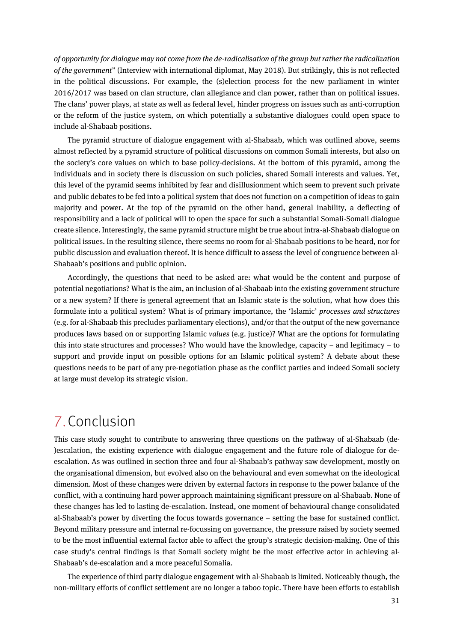*of opportunity for dialogue may not come from the de-radicalisation of the group but rather the radicalization of the government*" (Interview with international diplomat, May 2018). But strikingly, this is not reflected in the political discussions. For example, the (s)election process for the new parliament in winter 2016/2017 was based on clan structure, clan allegiance and clan power, rather than on political issues. The clans' power plays, at state as well as federal level, hinder progress on issues such as anti-corruption or the reform of the justice system, on which potentially a substantive dialogues could open space to include al-Shabaab positions.

The pyramid structure of dialogue engagement with al-Shabaab, which was outlined above, seems almost reflected by a pyramid structure of political discussions on common Somali interests, but also on the society's core values on which to base policy-decisions. At the bottom of this pyramid, among the individuals and in society there is discussion on such policies, shared Somali interests and values. Yet, this level of the pyramid seems inhibited by fear and disillusionment which seem to prevent such private and public debates to be fed into a political system that does not function on a competition of ideas to gain majority and power. At the top of the pyramid on the other hand, general inability, a deflecting of responsibility and a lack of political will to open the space for such a substantial Somali-Somali dialogue create silence. Interestingly, the same pyramid structure might be true about intra-al-Shabaab dialogue on political issues. In the resulting silence, there seems no room for al-Shabaab positions to be heard, nor for public discussion and evaluation thereof. It is hence difficult to assess the level of congruence between al-Shabaab's positions and public opinion.

Accordingly, the questions that need to be asked are: what would be the content and purpose of potential negotiations? What is the aim, an inclusion of al-Shabaab into the existing government structure or a new system? If there is general agreement that an Islamic state is the solution, what how does this formulate into a political system? What is of primary importance, the 'Islamic' *processes and structures* (e.g. for al-Shabaab this precludes parliamentary elections), and/or that the output of the new governance produces laws based on or supporting Islamic *values* (e.g. justice)? What are the options for formulating this into state structures and processes? Who would have the knowledge, capacity – and legitimacy – to support and provide input on possible options for an Islamic political system? A debate about these questions needs to be part of any pre-negotiation phase as the conflict parties and indeed Somali society at large must develop its strategic vision.

### <span id="page-30-0"></span>7.Conclusion

This case study sought to contribute to answering three questions on the pathway of al-Shabaab (de- )escalation, the existing experience with dialogue engagement and the future role of dialogue for deescalation. As was outlined in section three and four al-Shabaab's pathway saw development, mostly on the organisational dimension, but evolved also on the behavioural and even somewhat on the ideological dimension. Most of these changes were driven by external factors in response to the power balance of the conflict, with a continuing hard power approach maintaining significant pressure on al-Shabaab. None of these changes has led to lasting de-escalation. Instead, one moment of behavioural change consolidated al-Shabaab's power by diverting the focus towards governance – setting the base for sustained conflict. Beyond military pressure and internal re-focussing on governance, the pressure raised by society seemed to be the most influential external factor able to affect the group's strategic decision-making. One of this case study's central findings is that Somali society might be the most effective actor in achieving al-Shabaab's de-escalation and a more peaceful Somalia.

The experience of third party dialogue engagement with al-Shabaab is limited. Noticeably though, the non-military efforts of conflict settlement are no longer a taboo topic. There have been efforts to establish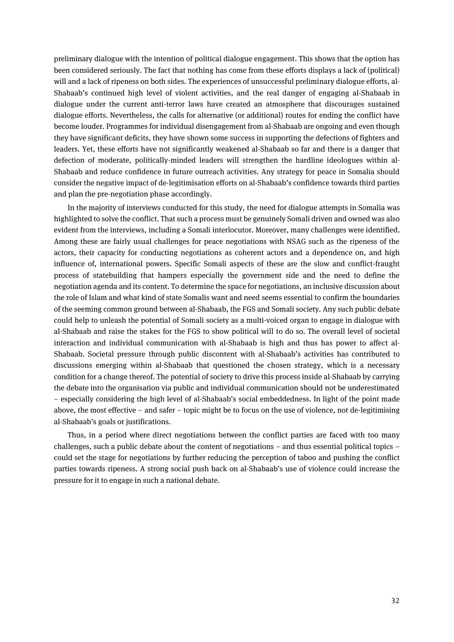preliminary dialogue with the intention of political dialogue engagement. This shows that the option has been considered seriously. The fact that nothing has come from these efforts displays a lack of (political) will and a lack of ripeness on both sides. The experiences of unsuccessful preliminary dialogue efforts, al-Shabaab's continued high level of violent activities, and the real danger of engaging al-Shabaab in dialogue under the current anti-terror laws have created an atmosphere that discourages sustained dialogue efforts. Nevertheless, the calls for alternative (or additional) routes for ending the conflict have become louder. Programmes for individual disengagement from al-Shabaab are ongoing and even though they have significant deficits, they have shown some success in supporting the defections of fighters and leaders. Yet, these efforts have not significantly weakened al-Shabaab so far and there is a danger that defection of moderate, politically-minded leaders will strengthen the hardline ideologues within al-Shabaab and reduce confidence in future outreach activities. Any strategy for peace in Somalia should consider the negative impact of de-legitimisation efforts on al-Shabaab's confidence towards third parties and plan the pre-negotiation phase accordingly.

In the majority of interviews conducted for this study, the need for dialogue attempts in Somalia was highlighted to solve the conflict. That such a process must be genuinely Somali driven and owned was also evident from the interviews, including a Somali interlocutor. Moreover, many challenges were identified. Among these are fairly usual challenges for peace negotiations with NSAG such as the ripeness of the actors, their capacity for conducting negotiations as coherent actors and a dependence on, and high influence of, international powers. Specific Somali aspects of these are the slow and conflict-fraught process of statebuilding that hampers especially the government side and the need to define the negotiation agenda and its content. To determine the space for negotiations, an inclusive discussion about the role of Islam and what kind of state Somalis want and need seems essential to confirm the boundaries of the seeming common ground between al-Shabaab, the FGS and Somali society. Any such public debate could help to unleash the potential of Somali society as a multi-voiced organ to engage in dialogue with al-Shabaab and raise the stakes for the FGS to show political will to do so. The overall level of societal interaction and individual communication with al-Shabaab is high and thus has power to affect al-Shabaab. Societal pressure through public discontent with al-Shabaab's activities has contributed to discussions emerging within al-Shabaab that questioned the chosen strategy, which is a necessary condition for a change thereof. The potential of society to drive this process inside al-Shabaab by carrying the debate into the organisation via public and individual communication should not be underestimated – especially considering the high level of al-Shabaab's social embeddedness. In light of the point made above, the most effective – and safer – topic might be to focus on the use of violence, not de-legitimising al-Shabaab's goals or justifications.

Thus, in a period where direct negotiations between the conflict parties are faced with too many challenges, such a public debate about the content of negotiations – and thus essential political topics – could set the stage for negotiations by further reducing the perception of taboo and pushing the conflict parties towards ripeness. A strong social push back on al-Shabaab's use of violence could increase the pressure for it to engage in such a national debate.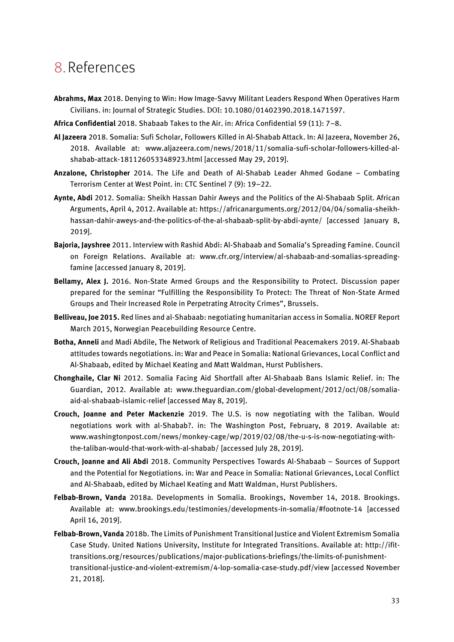# <span id="page-32-0"></span>8.References

- **Abrahms, Max** 2018. Denying to Win: How Image-Savvy Militant Leaders Respond When Operatives Harm Civilians. in: Journal of Strategic Studies. DOI: [10.1080/01402390.2018.1471597](https://doi.org/10.1080/01402390.2018.1471597).
- **Africa Confidential** 2018. Shabaab Takes to the Air. in: Africa Confidential 59 (11): 7–8.
- **Al Jazeera** 2018. Somalia: Sufi Scholar, Followers Killed in Al-Shabab Attack. In: Al Jazeera, November 26, 2018. Available at: www.aljazeera.com/news/2018/11/somalia-sufi-scholar-followers-killed-alshabab-attack-181126053348923.html [accessed May 29, 2019].
- **Anzalone, Christopher** 2014. The Life and Death of Al-Shabab Leader Ahmed Godane Combating Terrorism Center at West Point. in: CTC Sentinel 7 (9): 19–22.
- **Aynte, Abdi** 2012. Somalia: Sheikh Hassan Dahir Aweys and the Politics of the Al-Shabaab Split. African Arguments, April 4, 2012. Available at: https://africanarguments.org/2012/04/04/somalia-sheikhhassan-dahir-aweys-and-the-politics-of-the-al-shabaab-split-by-abdi-aynte/ [accessed January 8, 2019].
- **Bajoria, Jayshree** 2011. Interview with Rashid Abdi: Al-Shabaab and Somalia's Spreading Famine. Council on Foreign Relations. Available at: www.cfr.org/interview/al-shabaab-and-somalias-spreadingfamine [accessed January 8, 2019].
- **Bellamy, Alex J.** 2016. Non-State Armed Groups and the Responsibility to Protect. Discussion paper prepared for the seminar "Fulfilling the Responsibility To Protect: The Threat of Non-State Armed Groups and Their Increased Role in Perpetrating Atrocity Crimes", Brussels.
- **Belliveau, Joe 2015.** Red lines and al-Shabaab: negotiating humanitarian access in Somalia. NOREF Report March 2015, Norwegian Peacebuilding Resource Centre.
- **Botha, Anneli** and Madi Abdile, The Network of Religious and Traditional Peacemakers 2019. Al-Shabaab attitudes towards negotiations. in: War and Peace in Somalia: National Grievances, Local Conflict and Al-Shabaab, edited by Michael Keating and Matt Waldman, Hurst Publishers.
- **Chonghaile, Clar Ni** 2012. Somalia Facing Aid Shortfall after Al-Shabaab Bans Islamic Relief. in: The Guardian, 2012. Available at: www.theguardian.com/global-development/2012/oct/08/somaliaaid-al-shabaab-islamic-relief [accessed May 8, 2019].
- **Crouch, Joanne and Peter Mackenzie** 2019. The U.S. is now negotiating with the Taliban. Would negotiations work with al-Shabab?. in: The Washington Post, February, 8 2019. Available at: www.washingtonpost.com/news/monkey-cage/wp/2019/02/08/the-u-s-is-now-negotiating-withthe-taliban-would-that-work-with-al-shabab/ [accessed July 28, 2019].
- **Crouch, Joanne and Ali Abdi** 2018. Community Perspectives Towards Al-Shabaab Sources of Support and the Potential for Negotiations. in: War and Peace in Somalia: National Grievances, Local Conflict and Al-Shabaab, edited by Michael Keating and Matt Waldman, Hurst Publishers.
- **Felbab-Brown, Vanda** 2018a. Developments in Somalia. Brookings, November 14, 2018. Brookings. Available at: www.brookings.edu/testimonies/developments-in-somalia/#footnote-14 [accessed April 16, 2019].
- **Felbab-Brown, Vanda** 2018b. The Limits of Punishment Transitional Justice and Violent Extremism Somalia Case Study. United Nations University, Institute for Integrated Transitions. Available at: http://ifittransitions.org/resources/publications/major-publications-briefings/the-limits-of-punishmenttransitional-justice-and-violent-extremism/4-lop-somalia-case-study.pdf/view [accessed November 21, 2018].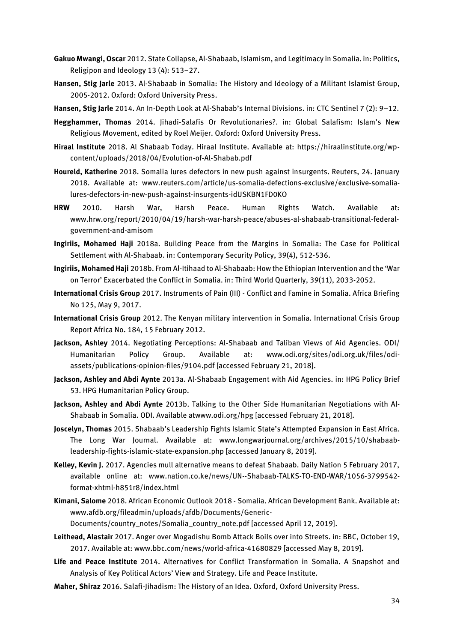- **Gakuo Mwangi, Oscar** 2012. State Collapse, Al-Shabaab, Islamism, and Legitimacy in Somalia. in: Politics, Religipon and Ideology 13 (4): 513–27.
- **Hansen, Stig Jarle** 2013. Al-Shabaab in Somalia: The History and Ideology of a Militant Islamist Group, 2005-2012. Oxford: Oxford University Press.
- **Hansen, Stig Jarle** 2014. An In-Depth Look at Al-Shabab's Internal Divisions. in: CTC Sentinel 7 (2): 9–12.
- **Hegghammer, Thomas** 2014. Jihadi-Salafis Or Revolutionaries?. in: Global Salafism: Islam's New Religious Movement, edited by Roel Meijer. Oxford: Oxford University Press.
- **Hiraal Institute** 2018. Al Shabaab Today. Hiraal Institute. Available at: https://hiraalinstitute.org/wpcontent/uploads/2018/04/Evolution-of-Al-Shabab.pdf
- **Houreld, Katherine** 2018. Somalia lures defectors in new push against insurgents. Reuters, 24. January 2018. Available at: www.reuters.com/article/us-somalia-defections-exclusive/exclusive-somalialures-defectors-in-new-push-against-insurgents-idUSKBN1FD0KO
- **HRW** 2010. Harsh War, Harsh Peace. Human Rights Watch. Available at: www.hrw.org/report/2010/04/19/harsh-war-harsh-peace/abuses-al-shabaab-transitional-federalgovernment-and-amisom
- **Ingiriis, Mohamed Haji** 2018a. Building Peace from the Margins in Somalia: The Case for Political Settlement with Al-Shabaab. in: Contemporary Security Policy, 39(4), 512-536.
- **Ingiriis, Mohamed Haji** 2018b. From Al-Itihaad to Al-Shabaab: How the Ethiopian Intervention and the 'War on Terror' Exacerbated the Conflict in Somalia. in: Third World Quarterly, 39(11), 2033-2052.
- **International Crisis Group** 2017. Instruments of Pain (III) Conflict and Famine in Somalia. Africa Briefing No 125, May 9, 2017.
- **International Crisis Group** 2012. The Kenyan military intervention in Somalia. International Crisis Group Report Africa No. 184, 15 February 2012.
- **Jackson, Ashley** 2014. Negotiating Perceptions: Al-Shabaab and Taliban Views of Aid Agencies. ODI/ Humanitarian Policy Group. Available at: www.odi.org/sites/odi.org.uk/files/odiassets/publications-opinion-files/9104.pdf [accessed February 21, 2018].
- **Jackson, Ashley and Abdi Aynte** 2013a. Al-Shabaab Engagement with Aid Agencies. in: HPG Policy Brief 53. HPG Humanitarian Policy Group.
- **Jackson, Ashley and Abdi Aynte** 2013b. Talking to the Other Side Humanitarian Negotiations with Al-Shabaab in Somalia. ODI. Available atwww.odi.org/hpg [accessed February 21, 2018].
- **Joscelyn, Thomas** 2015. Shabaab's Leadership Fights Islamic State's Attempted Expansion in East Africa. The Long War Journal. Available at: www.longwarjournal.org/archives/2015/10/shabaableadership-fights-islamic-state-expansion.php [accessed January 8, 2019].
- **Kelley, Kevin J.** 2017. Agencies mull alternative means to defeat Shabaab. Daily Nation 5 February 2017, available online at: [www.nation.co.ke/news/UN--Shabaab-TALKS-TO-END-WAR/1056-3799542](http://www.nation.co.ke/news/UN--Shabaab-TALKS-TO-END-WAR/1056-3799542-format-xhtml-h851r8/index.html) [format-xhtml-h851r8/index.html](http://www.nation.co.ke/news/UN--Shabaab-TALKS-TO-END-WAR/1056-3799542-format-xhtml-h851r8/index.html)
- **Kimani, Salome** 2018. African Economic Outlook 2018 Somalia. African Development Bank. Available at: [www.afdb.org/fileadmin/uploads/afdb/Documents/Generic-](http://www.afdb.org/fileadmin/uploads/afdb/Documents/Generic-Documents/country_notes/Somalia_country_note.pdf)[Documents/country\\_notes/Somalia\\_country\\_note.pdf](http://www.afdb.org/fileadmin/uploads/afdb/Documents/Generic-Documents/country_notes/Somalia_country_note.pdf) [accessed April 12, 2019].
- **Leithead, Alastair** 2017. Anger over Mogadishu Bomb Attack Boils over into Streets. in: BBC, October 19, 2017. Available at: www.bbc.com/news/world-africa-41680829 [accessed May 8, 2019].
- **Life and Peace Institute** 2014. Alternatives for Conflict Transformation in Somalia. A Snapshot and Analysis of Key Political Actors' View and Strategy. Life and Peace Institute.
- **Maher, Shiraz** 2016. Salafi-Jihadism: The History of an Idea. Oxford, Oxford University Press.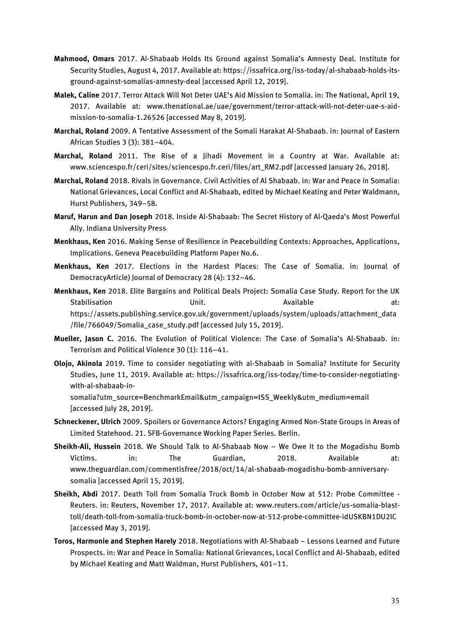- **Mahmood, Omars** 2017. Al-Shabaab Holds Its Ground against Somalia's Amnesty Deal. Institute for Security Studies, August 4, 2017. Available at: https://issafrica.org/iss-today/al-shabaab-holds-itsground-against-somalias-amnesty-deal [accessed April 12, 2019].
- **Malek, Caline** 2017. Terror Attack Will Not Deter UAE's Aid Mission to Somalia. in: The National, April 19, 2017. Available at: www.thenational.ae/uae/government/terror-attack-will-not-deter-uae-s-aidmission-to-somalia-1.26526 [accessed May 8, 2019].
- **Marchal, Roland** 2009. A Tentative Assessment of the Somali Harakat Al-Shabaab. in: Journal of Eastern African Studies 3 (3): 381–404.
- **Marchal, Roland** 2011. The Rise of a Jihadi Movement in a Country at War. Available at: www.sciencespo.fr/ceri/sites/sciencespo.fr.ceri/files/art\_RM2.pdf [accessed January 26, 2018].
- **Marchal, Roland** 2018. Rivals in Governance. Civil Activities of Al Shabaab. in: War and Peace in Somalia: National Grievances, Local Conflict and Al-Shabaab, edited by Michael Keating and Peter Waldmann, Hurst Publishers, 349–58.
- **Maruf, Harun and Dan Joseph** 2018. Inside Al-Shabaab: The Secret History of Al-Qaeda's Most Powerful Ally. Indiana University Press
- **Menkhaus, Ken** 2016. Making Sense of Resilience in Peacebuilding Contexts: Approaches, Applications, Implications. Geneva Peacebuilding Platform Paper No.6.
- **Menkhaus, Ken** 2017. Elections in the Hardest Places: The Case of Somalia. in: Journal of DemocracyArticle) Journal of Democracy 28 (4): 132–46.
- **Menkhaus, Ken** 2018. Elite Bargains and Political Deals Project: Somalia Case Study. Report for the UK Stabilisation **Bilandia Community Unit.** Available at: [https://assets.publishing.service.gov.uk/government/uploads/system/uploads/attachment\\_data](https://assets.publishing.service.gov.uk/government/uploads/system/uploads/attachment_data/file/766049/Somalia_case_study.pdf) [/file/766049/Somalia\\_case\\_study.pdf](https://assets.publishing.service.gov.uk/government/uploads/system/uploads/attachment_data/file/766049/Somalia_case_study.pdf) [accessed July 15, 2019].
- **Mueller, Jason C.** 2016. The Evolution of Political Violence: The Case of Somalia's Al-Shabaab. in: Terrorism and Political Violence 30 (1): 116–41.
- **Olojo, Akinola** 2019. Time to consider negotiating with al-Shabaab in Somalia? Institute for Security Studies, June 11, 2019. Available at: https://issafrica.org/iss-today/time-to-consider-negotiatingwith-al-shabaab-insomalia?utm\_source=BenchmarkEmail&utm\_campaign=ISS\_Weekly&utm\_medium=email
	- [accessed July 28, 2019].
- **Schneckener, Ulrich** 2009. Spoilers or Governance Actors? Engaging Armed Non-State Groups in Areas of Limited Statehood. 21. SFB-Governance Working Paper Series. Berlin.
- **Sheikh-Ali, Hussein** 2018. We Should Talk to Al-Shabaab Now We Owe It to the Mogadishu Bomb Victims. in: The Guardian, 2018. Available at: www.theguardian.com/commentisfree/2018/oct/14/al-shabaab-mogadishu-bomb-anniversarysomalia [accessed April 15, 2019].
- **Sheikh, Abdi** 2017. Death Toll from Somalia Truck Bomb in October Now at 512: Probe Committee Reuters. in: Reuters, November 17, 2017. Available at: www.reuters.com/article/us-somalia-blasttoll/death-toll-from-somalia-truck-bomb-in-october-now-at-512-probe-committee-idUSKBN1DU2IC [accessed May 3, 2019].
- **Toros, Harmonie and Stephen Harely** 2018. Negotiations with Al-Shabaab Lessons Learned and Future Prospects. in: War and Peace in Somalia: National Grievances, Local Conflict and Al-Shabaab, edited by Michael Keating and Matt Waldman, Hurst Publishers, 401–11.